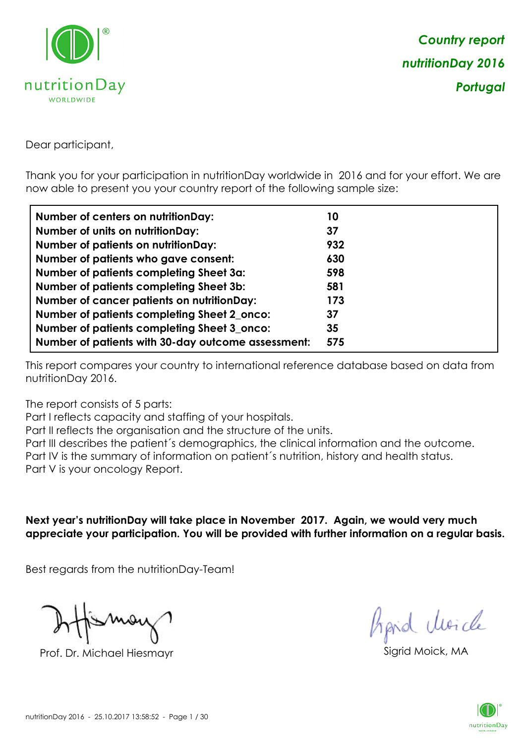

Dear participant,

Thank you for your participation in nutritionDay worldwide in 2016 and for your effort. We are now able to present you your country report of the following sample size:

| <b>Number of centers on nutritionDay:</b>          | 10  |
|----------------------------------------------------|-----|
| <b>Number of units on nutritionDay:</b>            | 37  |
| <b>Number of patients on nutritionDay:</b>         | 932 |
| Number of patients who gave consent:               | 630 |
| Number of patients completing Sheet 3a:            | 598 |
| <b>Number of patients completing Sheet 3b:</b>     | 581 |
| <b>Number of cancer patients on nutritionDay:</b>  | 173 |
| Number of patients completing Sheet 2_onco:        | 37  |
| Number of patients completing Sheet 3_onco:        | 35  |
| Number of patients with 30-day outcome assessment: | 575 |

This report compares your country to international reference database based on data from nutritionDay 2016.

The report consists of 5 parts:

Part I reflects capacity and staffing of your hospitals.

Part II reflects the organisation and the structure of the units.

Part III describes the patient´s demographics, the clinical information and the outcome.

Part IV is the summary of information on patient´s nutrition, history and health status.

Part V is your oncology Report.

**Next year's nutritionDay will take place in November 2017. Again, we would very much appreciate your participation. You will be provided with further information on a regular basis.**

Best regards from the nutritionDay-Team!

Prof. Dr. Michael Hiesmayr Sigrid Moick, M

hpid Moick

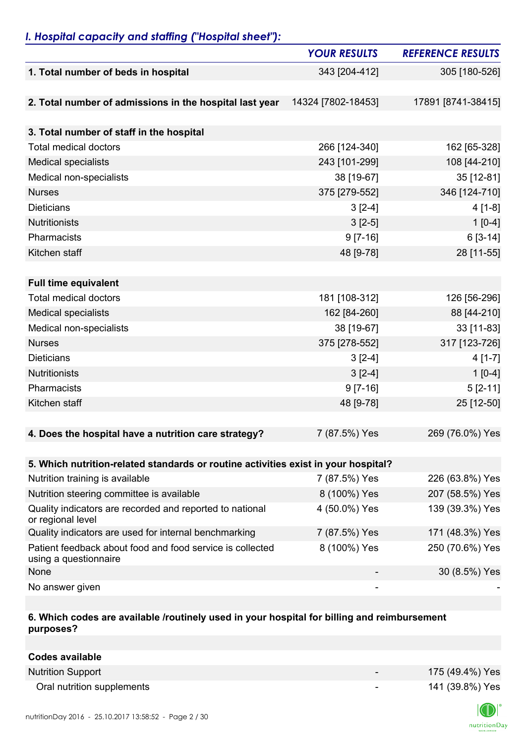## *I. Hospital capacity and staffing ("Hospital sheet"):*

|                                                                                    | <b>YOUR RESULTS</b> | <b>REFERENCE RESULTS</b> |
|------------------------------------------------------------------------------------|---------------------|--------------------------|
| 1. Total number of beds in hospital                                                | 343 [204-412]       | 305 [180-526]            |
|                                                                                    |                     |                          |
| 2. Total number of admissions in the hospital last year                            | 14324 [7802-18453]  | 17891 [8741-38415]       |
| 3. Total number of staff in the hospital                                           |                     |                          |
| <b>Total medical doctors</b>                                                       | 266 [124-340]       | 162 [65-328]             |
| <b>Medical specialists</b>                                                         | 243 [101-299]       | 108 [44-210]             |
| Medical non-specialists                                                            | 38 [19-67]          | 35 [12-81]               |
| <b>Nurses</b>                                                                      | 375 [279-552]       | 346 [124-710]            |
| <b>Dieticians</b>                                                                  | $3[2-4]$            | $4[1-8]$                 |
| Nutritionists                                                                      | $3[2-5]$            | $1[0-4]$                 |
| Pharmacists                                                                        | $9 [7-16]$          | $6[3-14]$                |
| Kitchen staff                                                                      | 48 [9-78]           | 28 [11-55]               |
|                                                                                    |                     |                          |
| <b>Full time equivalent</b>                                                        |                     |                          |
| <b>Total medical doctors</b>                                                       | 181 [108-312]       | 126 [56-296]             |
| <b>Medical specialists</b>                                                         | 162 [84-260]        | 88 [44-210]              |
| Medical non-specialists                                                            | 38 [19-67]          | 33 [11-83]               |
| <b>Nurses</b>                                                                      | 375 [278-552]       | 317 [123-726]            |
| <b>Dieticians</b>                                                                  | $3[2-4]$            | $4[1-7]$                 |
| Nutritionists                                                                      | $3[2-4]$            | $1[0-4]$                 |
| Pharmacists                                                                        | $9 [7-16]$          | $5[2-11]$                |
| Kitchen staff                                                                      | 48 [9-78]           | 25 [12-50]               |
|                                                                                    |                     |                          |
| 4. Does the hospital have a nutrition care strategy?                               | 7 (87.5%) Yes       | 269 (76.0%) Yes          |
|                                                                                    |                     |                          |
| 5. Which nutrition-related standards or routine activities exist in your hospital? |                     |                          |
| Nutrition training is available                                                    | 7 (87.5%) Yes       | 226 (63.8%) Yes          |
| Nutrition steering committee is available                                          | 8 (100%) Yes        | 207 (58.5%) Yes          |
| Quality indicators are recorded and reported to national<br>or regional level      | 4 (50.0%) Yes       | 139 (39.3%) Yes          |
| Quality indicators are used for internal benchmarking                              | 7 (87.5%) Yes       | 171 (48.3%) Yes          |
| Patient feedback about food and food service is collected<br>using a questionnaire | 8 (100%) Yes        | 250 (70.6%) Yes          |
| None                                                                               |                     | 30 (8.5%) Yes            |
| No answer given                                                                    |                     |                          |

### **6. Which codes are available /routinely used in your hospital for billing and reimbursement purposes?**

| <b>Codes available</b>     |                          |                 |
|----------------------------|--------------------------|-----------------|
| <b>Nutrition Support</b>   | $\overline{\phantom{0}}$ | 175 (49.4%) Yes |
| Oral nutrition supplements | $\overline{\phantom{a}}$ | 141 (39.8%) Yes |

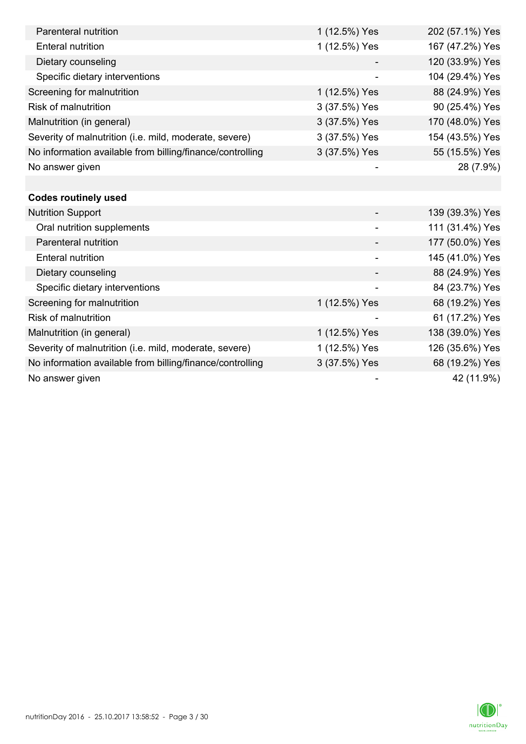| Parenteral nutrition                                      | 1 (12.5%) Yes            | 202 (57.1%) Yes |
|-----------------------------------------------------------|--------------------------|-----------------|
| <b>Enteral nutrition</b>                                  | 1 (12.5%) Yes            | 167 (47.2%) Yes |
| Dietary counseling                                        |                          | 120 (33.9%) Yes |
| Specific dietary interventions                            |                          | 104 (29.4%) Yes |
| Screening for malnutrition                                | 1 (12.5%) Yes            | 88 (24.9%) Yes  |
| <b>Risk of malnutrition</b>                               | 3 (37.5%) Yes            | 90 (25.4%) Yes  |
| Malnutrition (in general)                                 | 3 (37.5%) Yes            | 170 (48.0%) Yes |
| Severity of malnutrition (i.e. mild, moderate, severe)    | 3 (37.5%) Yes            | 154 (43.5%) Yes |
| No information available from billing/finance/controlling | 3 (37.5%) Yes            | 55 (15.5%) Yes  |
| No answer given                                           |                          | 28 (7.9%)       |
|                                                           |                          |                 |
| <b>Codes routinely used</b>                               |                          |                 |
| <b>Nutrition Support</b>                                  |                          | 139 (39.3%) Yes |
| Oral nutrition supplements                                |                          | 111 (31.4%) Yes |
| Parenteral nutrition                                      |                          | 177 (50.0%) Yes |
| <b>Enteral nutrition</b>                                  | $\overline{\phantom{a}}$ | 145 (41.0%) Yes |
| Dietary counseling                                        |                          | 88 (24.9%) Yes  |
| Specific dietary interventions                            |                          | 84 (23.7%) Yes  |
| Screening for malnutrition                                | 1 (12.5%) Yes            | 68 (19.2%) Yes  |
| <b>Risk of malnutrition</b>                               |                          | 61 (17.2%) Yes  |
| Malnutrition (in general)                                 | 1 (12.5%) Yes            | 138 (39.0%) Yes |
| Severity of malnutrition (i.e. mild, moderate, severe)    | 1 (12.5%) Yes            | 126 (35.6%) Yes |
| No information available from billing/finance/controlling | 3 (37.5%) Yes            | 68 (19.2%) Yes  |
| No answer given                                           |                          | 42 (11.9%)      |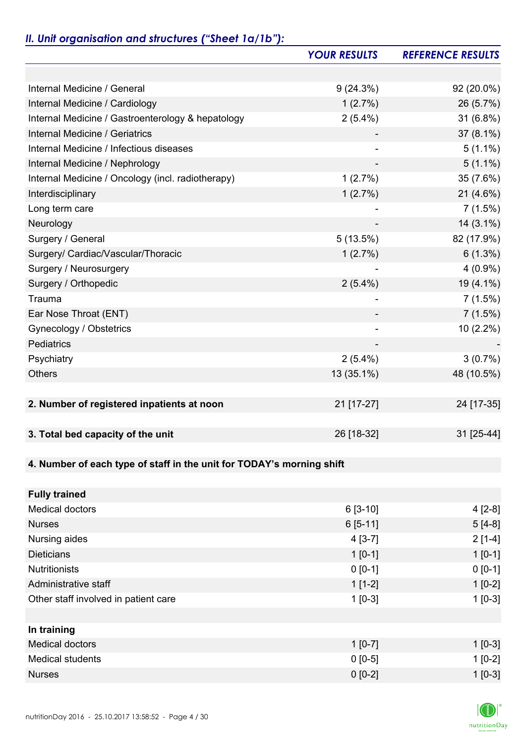# *II. Unit organisation and structures ("Sheet 1a/1b"):*

|                                                                       | <b>YOUR RESULTS</b> | <b>REFERENCE RESULTS</b> |
|-----------------------------------------------------------------------|---------------------|--------------------------|
|                                                                       |                     |                          |
| Internal Medicine / General                                           | 9(24.3%)            | 92 (20.0%)               |
| Internal Medicine / Cardiology                                        | 1(2.7%)             | 26 (5.7%)                |
| Internal Medicine / Gastroenterology & hepatology                     | $2(5.4\%)$          | 31 (6.8%)                |
| Internal Medicine / Geriatrics                                        |                     | $37(8.1\%)$              |
| Internal Medicine / Infectious diseases                               |                     | $5(1.1\%)$               |
| Internal Medicine / Nephrology                                        |                     | $5(1.1\%)$               |
| Internal Medicine / Oncology (incl. radiotherapy)                     | 1(2.7%)             | 35 (7.6%)                |
| Interdisciplinary                                                     | 1(2.7%)             | 21 (4.6%)                |
| Long term care                                                        |                     | 7(1.5%)                  |
| Neurology                                                             |                     | $14(3.1\%)$              |
| Surgery / General                                                     | 5(13.5%)            | 82 (17.9%)               |
| Surgery/ Cardiac/Vascular/Thoracic                                    | 1(2.7%)             | $6(1.3\%)$               |
| Surgery / Neurosurgery                                                |                     | $4(0.9\%)$               |
| Surgery / Orthopedic                                                  | $2(5.4\%)$          | 19 (4.1%)                |
| Trauma                                                                |                     | 7(1.5%)                  |
| Ear Nose Throat (ENT)                                                 |                     | 7(1.5%)                  |
| Gynecology / Obstetrics                                               |                     | $10(2.2\%)$              |
| Pediatrics                                                            |                     |                          |
| Psychiatry                                                            | $2(5.4\%)$          | 3(0.7%)                  |
| <b>Others</b>                                                         | 13 (35.1%)          | 48 (10.5%)               |
|                                                                       |                     |                          |
| 2. Number of registered inpatients at noon                            | 21 [17-27]          | 24 [17-35]               |
|                                                                       |                     |                          |
| 3. Total bed capacity of the unit                                     | 26 [18-32]          | 31 [25-44]               |
|                                                                       |                     |                          |
| 4. Number of each type of staff in the unit for TODAY's morning shift |                     |                          |
|                                                                       |                     |                          |
| <b>Fully trained</b>                                                  |                     |                          |
| <b>Medical doctors</b>                                                | $6[3-10]$           | $4[2-8]$                 |
| <b>Nurses</b>                                                         | $6[5-11]$           | $5[4-8]$                 |
| Nursing aides                                                         | $4[3-7]$            | $2[1-4]$                 |
| <b>Dieticians</b>                                                     | $1[0-1]$            | $1 [0-1]$                |
| <b>Nutritionists</b>                                                  | $0 [0-1]$           | $0 [0-1]$                |
| Administrative staff                                                  | $1[1-2]$            | $1[0-2]$                 |
| Other staff involved in patient care                                  | $1$ [0-3]           | $1[0-3]$                 |
|                                                                       |                     |                          |
| In training                                                           |                     |                          |
| <b>Medical doctors</b>                                                | $1 [0-7]$           | $1$ [0-3]                |
| <b>Medical students</b>                                               | $0[0-5]$            | $1[0-2]$                 |
| <b>Nurses</b>                                                         | $0 [0-2]$           | $1[0-3]$                 |

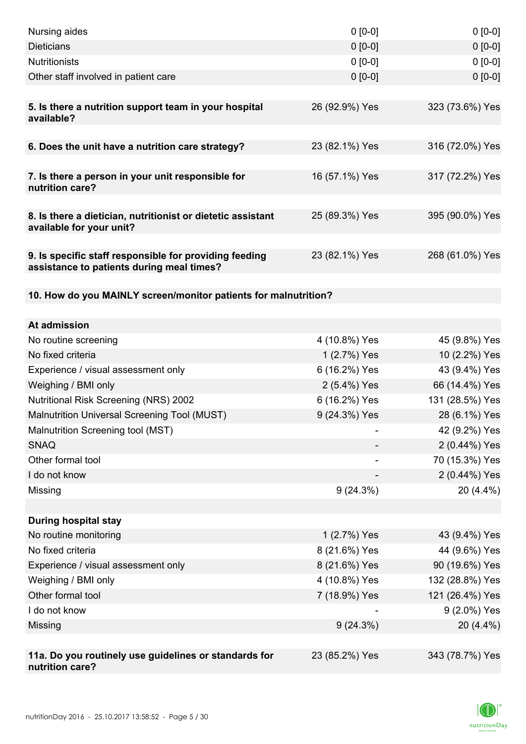| Nursing aides                                                                                       | $0 [0-0]$      | $0[0-0]$        |
|-----------------------------------------------------------------------------------------------------|----------------|-----------------|
| <b>Dieticians</b>                                                                                   | $0 [0-0]$      | $0 [0-0]$       |
| <b>Nutritionists</b>                                                                                | $0 [0-0]$      | $0[0-0]$        |
| Other staff involved in patient care                                                                | $0 [0-0]$      | $0 [0-0]$       |
|                                                                                                     |                |                 |
| 5. Is there a nutrition support team in your hospital<br>available?                                 | 26 (92.9%) Yes | 323 (73.6%) Yes |
| 6. Does the unit have a nutrition care strategy?                                                    | 23 (82.1%) Yes | 316 (72.0%) Yes |
|                                                                                                     |                |                 |
| 7. Is there a person in your unit responsible for<br>nutrition care?                                | 16 (57.1%) Yes | 317 (72.2%) Yes |
| 8. Is there a dietician, nutritionist or dietetic assistant<br>available for your unit?             | 25 (89.3%) Yes | 395 (90.0%) Yes |
| 9. Is specific staff responsible for providing feeding<br>assistance to patients during meal times? | 23 (82.1%) Yes | 268 (61.0%) Yes |
| 10. How do you MAINLY screen/monitor patients for malnutrition?                                     |                |                 |
|                                                                                                     |                |                 |
| At admission                                                                                        |                |                 |
| No routine screening                                                                                | 4 (10.8%) Yes  | 45 (9.8%) Yes   |
| No fixed criteria                                                                                   | 1 (2.7%) Yes   | 10 (2.2%) Yes   |
| Experience / visual assessment only                                                                 | 6 (16.2%) Yes  | 43 (9.4%) Yes   |
| Weighing / BMI only                                                                                 | 2 (5.4%) Yes   | 66 (14.4%) Yes  |
| <b>Nutritional Risk Screening (NRS) 2002</b>                                                        | 6 (16.2%) Yes  | 131 (28.5%) Yes |
| Malnutrition Universal Screening Tool (MUST)                                                        | 9 (24.3%) Yes  | 28 (6.1%) Yes   |
| Malnutrition Screening tool (MST)                                                                   |                | 42 (9.2%) Yes   |
| <b>SNAQ</b>                                                                                         |                | 2 (0.44%) Yes   |
| Other formal tool                                                                                   |                | 70 (15.3%) Yes  |
| I do not know                                                                                       |                | 2 (0.44%) Yes   |
| Missing                                                                                             | $9(24.3\%)$    | 20 (4.4%)       |
|                                                                                                     |                |                 |
| <b>During hospital stay</b>                                                                         |                |                 |
| No routine monitoring                                                                               | 1 (2.7%) Yes   | 43 (9.4%) Yes   |
| No fixed criteria                                                                                   | 8 (21.6%) Yes  | 44 (9.6%) Yes   |
| Experience / visual assessment only                                                                 | 8 (21.6%) Yes  | 90 (19.6%) Yes  |
| Weighing / BMI only                                                                                 | 4 (10.8%) Yes  | 132 (28.8%) Yes |
| Other formal tool                                                                                   | 7 (18.9%) Yes  | 121 (26.4%) Yes |
| I do not know                                                                                       |                | 9 (2.0%) Yes    |
| Missing                                                                                             | $9(24.3\%)$    | 20 (4.4%)       |
|                                                                                                     |                |                 |
| 11a. Do you routinely use guidelines or standards for<br>nutrition care?                            | 23 (85.2%) Yes | 343 (78.7%) Yes |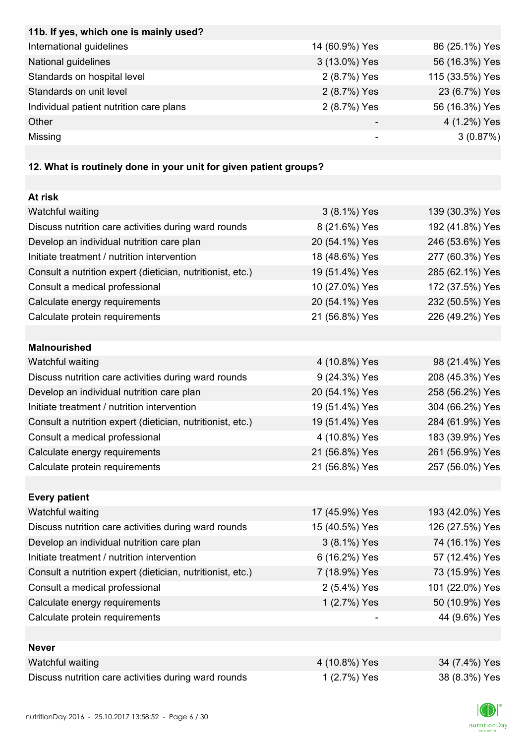| 11b. If yes, which one is mainly used?  |                |                 |
|-----------------------------------------|----------------|-----------------|
| International guidelines                | 14 (60.9%) Yes | 86 (25.1%) Yes  |
| National guidelines                     | 3 (13.0%) Yes  | 56 (16.3%) Yes  |
| Standards on hospital level             | 2 (8.7%) Yes   | 115 (33.5%) Yes |
| Standards on unit level                 | 2 (8.7%) Yes   | 23 (6.7%) Yes   |
| Individual patient nutrition care plans | 2 (8.7%) Yes   | 56 (16.3%) Yes  |
| Other                                   |                | 4 (1.2%) Yes    |
| Missing                                 |                | 3(0.87%)        |

# **12. What is routinely done in your unit for given patient groups?**

| At risk                                                    |                |                 |
|------------------------------------------------------------|----------------|-----------------|
| Watchful waiting                                           | 3 (8.1%) Yes   | 139 (30.3%) Yes |
| Discuss nutrition care activities during ward rounds       | 8 (21.6%) Yes  | 192 (41.8%) Yes |
| Develop an individual nutrition care plan                  | 20 (54.1%) Yes | 246 (53.6%) Yes |
| Initiate treatment / nutrition intervention                | 18 (48.6%) Yes | 277 (60.3%) Yes |
| Consult a nutrition expert (dietician, nutritionist, etc.) | 19 (51.4%) Yes | 285 (62.1%) Yes |
| Consult a medical professional                             | 10 (27.0%) Yes | 172 (37.5%) Yes |
| Calculate energy requirements                              | 20 (54.1%) Yes | 232 (50.5%) Yes |
| Calculate protein requirements                             | 21 (56.8%) Yes | 226 (49.2%) Yes |
|                                                            |                |                 |
| <b>Malnourished</b>                                        |                |                 |
| Watchful waiting                                           | 4 (10.8%) Yes  | 98 (21.4%) Yes  |
| Discuss nutrition care activities during ward rounds       | 9 (24.3%) Yes  | 208 (45.3%) Yes |
| Develop an individual nutrition care plan                  | 20 (54.1%) Yes | 258 (56.2%) Yes |
| Initiate treatment / nutrition intervention                | 19 (51.4%) Yes | 304 (66.2%) Yes |
| Consult a nutrition expert (dietician, nutritionist, etc.) | 19 (51.4%) Yes | 284 (61.9%) Yes |
| Consult a medical professional                             | 4 (10.8%) Yes  | 183 (39.9%) Yes |
| Calculate energy requirements                              | 21 (56.8%) Yes | 261 (56.9%) Yes |
| Calculate protein requirements                             | 21 (56.8%) Yes | 257 (56.0%) Yes |
|                                                            |                |                 |
| <b>Every patient</b>                                       |                |                 |
| Watchful waiting                                           | 17 (45.9%) Yes | 193 (42.0%) Yes |
| Discuss nutrition care activities during ward rounds       | 15 (40.5%) Yes | 126 (27.5%) Yes |
| Develop an individual nutrition care plan                  | 3 (8.1%) Yes   | 74 (16.1%) Yes  |
| Initiate treatment / nutrition intervention                | 6 (16.2%) Yes  | 57 (12.4%) Yes  |
| Consult a nutrition expert (dietician, nutritionist, etc.) | 7 (18.9%) Yes  | 73 (15.9%) Yes  |
| Consult a medical professional                             | 2 (5.4%) Yes   | 101 (22.0%) Yes |
| Calculate energy requirements                              | 1 (2.7%) Yes   | 50 (10.9%) Yes  |
| Calculate protein requirements                             |                | 44 (9.6%) Yes   |
|                                                            |                |                 |
| <b>Never</b>                                               |                |                 |
| Watchful waiting                                           | 4 (10.8%) Yes  | 34 (7.4%) Yes   |
| Discuss nutrition care activities during ward rounds       | 1 (2.7%) Yes   | 38 (8.3%) Yes   |

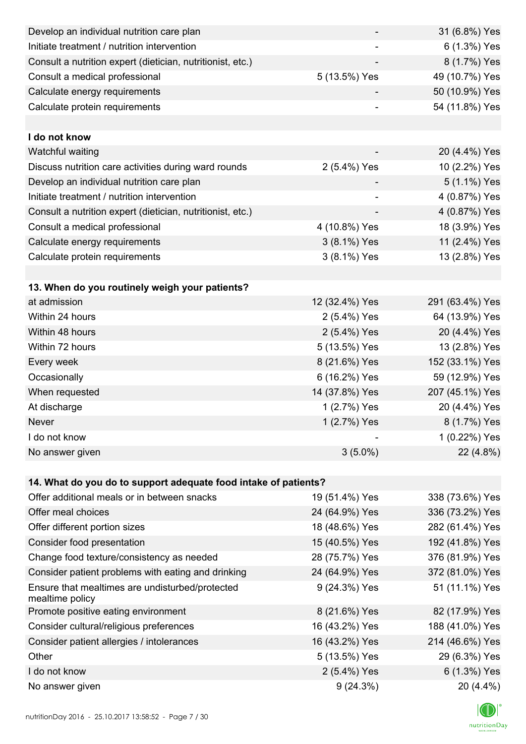| Develop an individual nutrition care plan                          |                | 31 (6.8%) Yes   |
|--------------------------------------------------------------------|----------------|-----------------|
| Initiate treatment / nutrition intervention                        |                | 6 (1.3%) Yes    |
| Consult a nutrition expert (dietician, nutritionist, etc.)         |                | 8 (1.7%) Yes    |
| Consult a medical professional                                     | 5 (13.5%) Yes  | 49 (10.7%) Yes  |
| Calculate energy requirements                                      |                | 50 (10.9%) Yes  |
| Calculate protein requirements                                     |                | 54 (11.8%) Yes  |
|                                                                    |                |                 |
| I do not know                                                      |                |                 |
| Watchful waiting                                                   |                | 20 (4.4%) Yes   |
| Discuss nutrition care activities during ward rounds               | 2 (5.4%) Yes   | 10 (2.2%) Yes   |
| Develop an individual nutrition care plan                          |                | 5 (1.1%) Yes    |
| Initiate treatment / nutrition intervention                        |                | 4 (0.87%) Yes   |
| Consult a nutrition expert (dietician, nutritionist, etc.)         |                | 4 (0.87%) Yes   |
| Consult a medical professional                                     | 4 (10.8%) Yes  | 18 (3.9%) Yes   |
| Calculate energy requirements                                      | 3 (8.1%) Yes   | 11 (2.4%) Yes   |
| Calculate protein requirements                                     | 3 (8.1%) Yes   | 13 (2.8%) Yes   |
|                                                                    |                |                 |
| 13. When do you routinely weigh your patients?                     |                |                 |
| at admission                                                       | 12 (32.4%) Yes | 291 (63.4%) Yes |
| Within 24 hours                                                    | 2 (5.4%) Yes   | 64 (13.9%) Yes  |
| Within 48 hours                                                    | 2 (5.4%) Yes   | 20 (4.4%) Yes   |
| Within 72 hours                                                    | 5 (13.5%) Yes  | 13 (2.8%) Yes   |
| Every week                                                         | 8 (21.6%) Yes  | 152 (33.1%) Yes |
| Occasionally                                                       | 6 (16.2%) Yes  | 59 (12.9%) Yes  |
| When requested                                                     | 14 (37.8%) Yes | 207 (45.1%) Yes |
| At discharge                                                       | 1 (2.7%) Yes   | 20 (4.4%) Yes   |
| Never                                                              | 1 (2.7%) Yes   | 8 (1.7%) Yes    |
| I do not know                                                      |                | 1 (0.22%) Yes   |
| No answer given                                                    | $3(5.0\%)$     | 22 (4.8%)       |
|                                                                    |                |                 |
| 14. What do you do to support adequate food intake of patients?    |                |                 |
| Offer additional meals or in between snacks                        | 19 (51.4%) Yes | 338 (73.6%) Yes |
| Offer meal choices                                                 | 24 (64.9%) Yes | 336 (73.2%) Yes |
| Offer different portion sizes                                      | 18 (48.6%) Yes | 282 (61.4%) Yes |
| Consider food presentation                                         | 15 (40.5%) Yes | 192 (41.8%) Yes |
| Change food texture/consistency as needed                          | 28 (75.7%) Yes | 376 (81.9%) Yes |
| Consider patient problems with eating and drinking                 | 24 (64.9%) Yes | 372 (81.0%) Yes |
| Ensure that mealtimes are undisturbed/protected<br>mealtime policy | 9 (24.3%) Yes  | 51 (11.1%) Yes  |
| Promote positive eating environment                                | 8 (21.6%) Yes  | 82 (17.9%) Yes  |
| Consider cultural/religious preferences                            | 16 (43.2%) Yes | 188 (41.0%) Yes |
| Consider patient allergies / intolerances                          | 16 (43.2%) Yes | 214 (46.6%) Yes |
| Other                                                              | 5 (13.5%) Yes  | 29 (6.3%) Yes   |
| I do not know                                                      | 2 (5.4%) Yes   | 6 (1.3%) Yes    |
| No answer given                                                    | 9(24.3%)       | 20 (4.4%)       |

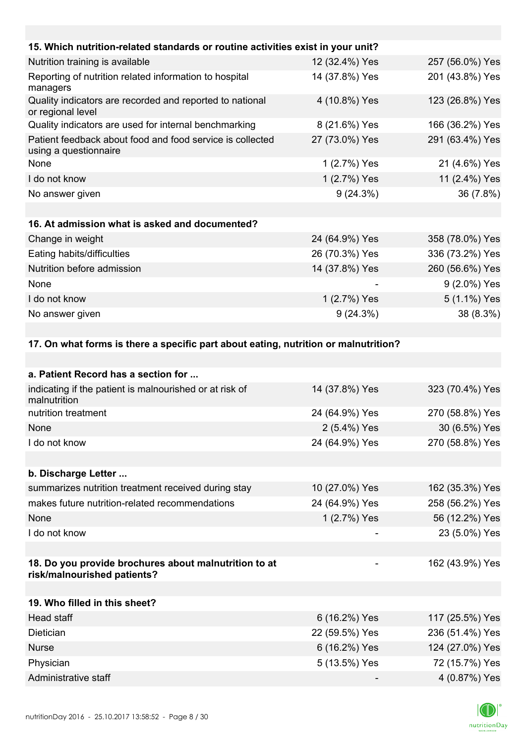| 15. Which nutrition-related standards or routine activities exist in your unit?     |                |                 |
|-------------------------------------------------------------------------------------|----------------|-----------------|
| Nutrition training is available                                                     | 12 (32.4%) Yes | 257 (56.0%) Yes |
| Reporting of nutrition related information to hospital<br>managers                  | 14 (37.8%) Yes | 201 (43.8%) Yes |
| Quality indicators are recorded and reported to national<br>or regional level       | 4 (10.8%) Yes  | 123 (26.8%) Yes |
| Quality indicators are used for internal benchmarking                               | 8 (21.6%) Yes  | 166 (36.2%) Yes |
| Patient feedback about food and food service is collected<br>using a questionnaire  | 27 (73.0%) Yes | 291 (63.4%) Yes |
| None                                                                                | 1 (2.7%) Yes   | 21 (4.6%) Yes   |
| I do not know                                                                       | 1 (2.7%) Yes   | 11 (2.4%) Yes   |
| No answer given                                                                     | 9(24.3%)       | 36 (7.8%)       |
|                                                                                     |                |                 |
| 16. At admission what is asked and documented?                                      |                |                 |
| Change in weight                                                                    | 24 (64.9%) Yes | 358 (78.0%) Yes |
| Eating habits/difficulties                                                          | 26 (70.3%) Yes | 336 (73.2%) Yes |
| Nutrition before admission                                                          | 14 (37.8%) Yes | 260 (56.6%) Yes |
| None                                                                                |                | 9 (2.0%) Yes    |
| I do not know                                                                       | 1 (2.7%) Yes   | 5 (1.1%) Yes    |
| No answer given                                                                     | 9(24.3%)       | 38 (8.3%)       |
|                                                                                     |                |                 |
| 17. On what forms is there a specific part about eating, nutrition or malnutrition? |                |                 |
|                                                                                     |                |                 |
| a. Patient Record has a section for                                                 |                |                 |
| indicating if the patient is malnourished or at risk of<br>malnutrition             | 14 (37.8%) Yes | 323 (70.4%) Yes |
| nutrition treatment                                                                 | 24 (64.9%) Yes | 270 (58.8%) Yes |
| None                                                                                | 2 (5.4%) Yes   | 30 (6.5%) Yes   |
| I do not know                                                                       | 24 (64.9%) Yes | 270 (58.8%) Yes |
|                                                                                     |                |                 |
| b. Discharge Letter                                                                 |                |                 |
| summarizes nutrition treatment received during stay                                 | 10 (27.0%) Yes | 162 (35.3%) Yes |
| makes future nutrition-related recommendations                                      | 24 (64.9%) Yes | 258 (56.2%) Yes |

| summarizes nutrition treatment received during stay                                  | 10 (27.0%) Yes                  | 162 (35.3%) Yes         |
|--------------------------------------------------------------------------------------|---------------------------------|-------------------------|
| makes future nutrition-related recommendations                                       | 24 (64.9%) Yes                  | 258 (56.2%) Yes         |
| None                                                                                 | 1 (2.7%) Yes                    | 56 (12.2%) Yes          |
| I do not know                                                                        |                                 | 23 (5.0%) Yes           |
|                                                                                      |                                 |                         |
| 18. Do you provide brochures about malnutrition to at<br>risk/malnourished patients? |                                 | 162 (43.9%) Yes         |
|                                                                                      |                                 |                         |
| 19. Who filled in this sheet?                                                        |                                 |                         |
| Head staff                                                                           | 6 (16.2%) Yes                   | 117 (25.5%) Yes         |
| $N = 11 - 1 - 1$                                                                     | $00 \times 100$ $00 \times 100$ | $000 \left(0.40\right)$ |

| <b>Dietician</b>     | 22 (59.5%) Yes           | 236 (51.4%) Yes |
|----------------------|--------------------------|-----------------|
| <b>Nurse</b>         | 6 (16.2%) Yes            | 124 (27.0%) Yes |
| Physician            | 5 (13.5%) Yes            | 72 (15.7%) Yes  |
| Administrative staff | $\overline{\phantom{a}}$ | 4 (0.87%) Yes   |

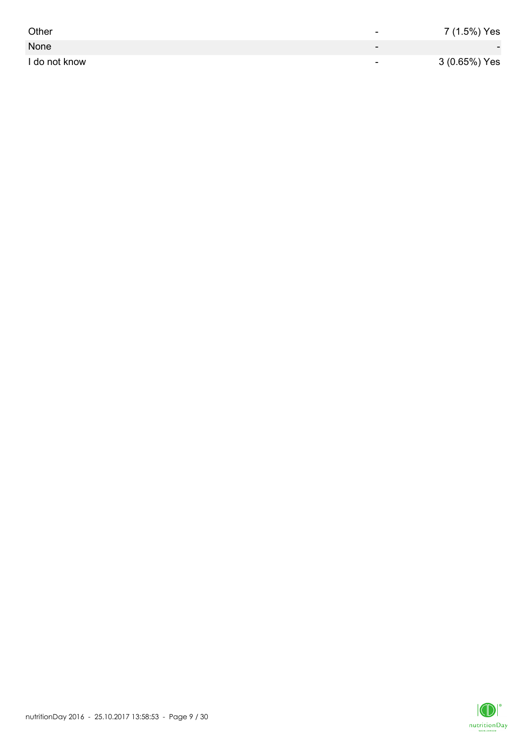| Other         | -                        | 7 (1.5%) Yes             |
|---------------|--------------------------|--------------------------|
| None          | $\overline{\phantom{0}}$ | $\overline{\phantom{0}}$ |
| I do not know | $\overline{\phantom{0}}$ | 3 (0.65%) Yes            |

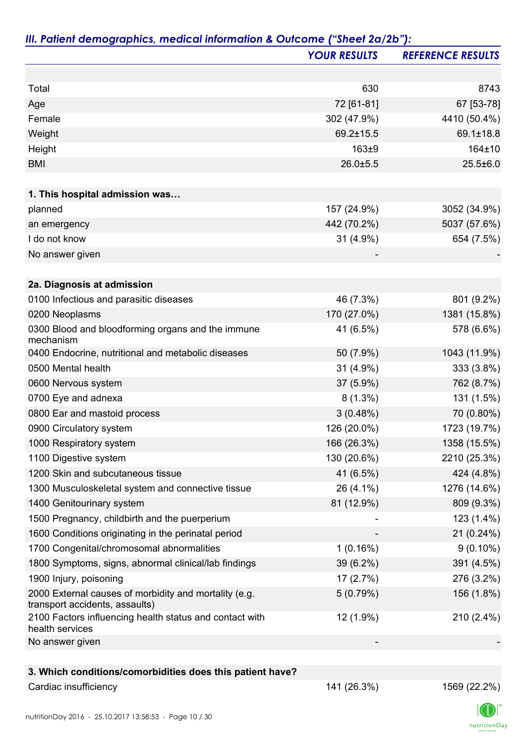|                                                                                         | <b>YOUR RESULTS</b> | <b>REFERENCE RESULTS</b> |
|-----------------------------------------------------------------------------------------|---------------------|--------------------------|
|                                                                                         |                     |                          |
| Total                                                                                   | 630                 | 8743                     |
| Age                                                                                     | 72 [61-81]          | 67 [53-78]               |
| Female                                                                                  | 302 (47.9%)         | 4410 (50.4%)             |
| Weight                                                                                  | 69.2±15.5           | 69.1±18.8                |
| Height                                                                                  | $163\pm9$           | 164±10                   |
| <b>BMI</b>                                                                              | 26.0±5.5            | $25.5 \pm 6.0$           |
|                                                                                         |                     |                          |
| 1. This hospital admission was<br>planned                                               | 157 (24.9%)         |                          |
|                                                                                         |                     | 3052 (34.9%)             |
| an emergency                                                                            | 442 (70.2%)         | 5037 (57.6%)             |
| I do not know                                                                           | 31 (4.9%)           | 654 (7.5%)               |
| No answer given                                                                         |                     |                          |
| 2a. Diagnosis at admission                                                              |                     |                          |
| 0100 Infectious and parasitic diseases                                                  | 46 (7.3%)           | 801 (9.2%)               |
| 0200 Neoplasms                                                                          | 170 (27.0%)         | 1381 (15.8%)             |
| 0300 Blood and bloodforming organs and the immune<br>mechanism                          | 41 (6.5%)           | 578 (6.6%)               |
| 0400 Endocrine, nutritional and metabolic diseases                                      | 50 (7.9%)           | 1043 (11.9%)             |
| 0500 Mental health                                                                      | 31 (4.9%)           | 333 (3.8%)               |
| 0600 Nervous system                                                                     | 37 (5.9%)           | 762 (8.7%)               |
| 0700 Eye and adnexa                                                                     | $8(1.3\%)$          | 131 (1.5%)               |
| 0800 Ear and mastoid process                                                            | 3(0.48%)            | 70 (0.80%)               |
| 0900 Circulatory system                                                                 | 126 (20.0%)         | 1723 (19.7%)             |
| 1000 Respiratory system                                                                 | 166 (26.3%)         | 1358 (15.5%)             |
| 1100 Digestive system                                                                   | 130 (20.6%)         | 2210 (25.3%)             |
| 1200 Skin and subcutaneous tissue                                                       | 41 (6.5%)           | 424 (4.8%)               |
| 1300 Musculoskeletal system and connective tissue                                       | 26 (4.1%)           | 1276 (14.6%)             |
| 1400 Genitourinary system                                                               | 81 (12.9%)          | 809 (9.3%)               |
| 1500 Pregnancy, childbirth and the puerperium                                           |                     | 123 (1.4%)               |
| 1600 Conditions originating in the perinatal period                                     |                     | 21 (0.24%)               |
| 1700 Congenital/chromosomal abnormalities                                               | 1(0.16%)            | $9(0.10\%)$              |
| 1800 Symptoms, signs, abnormal clinical/lab findings                                    | $39(6.2\%)$         | 391 (4.5%)               |
| 1900 Injury, poisoning                                                                  | 17(2.7%)            | 276 (3.2%)               |
| 2000 External causes of morbidity and mortality (e.g.<br>transport accidents, assaults) | 5(0.79%)            | 156 (1.8%)               |
| 2100 Factors influencing health status and contact with<br>health services              | 12 (1.9%)           | 210 (2.4%)               |
| No answer given                                                                         |                     |                          |
|                                                                                         |                     |                          |
| 3. Which conditions/comorbidities does this patient have?                               |                     |                          |

Cardiac insufficiency 141 (26.3%) 1569 (22.2%)

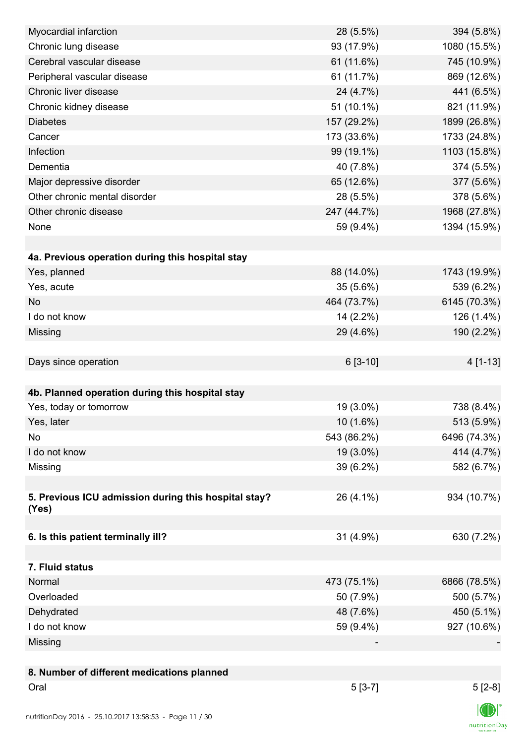| Myocardial infarction                                | 28 (5.5%)   | 394 (5.8%)   |
|------------------------------------------------------|-------------|--------------|
| Chronic lung disease                                 | 93 (17.9%)  | 1080 (15.5%) |
| Cerebral vascular disease                            | 61 (11.6%)  | 745 (10.9%)  |
| Peripheral vascular disease                          | 61 (11.7%)  | 869 (12.6%)  |
| Chronic liver disease                                | 24 (4.7%)   | 441 (6.5%)   |
| Chronic kidney disease                               | 51 (10.1%)  | 821 (11.9%)  |
| <b>Diabetes</b>                                      | 157 (29.2%) | 1899 (26.8%) |
| Cancer                                               | 173 (33.6%) | 1733 (24.8%) |
| Infection                                            | 99 (19.1%)  | 1103 (15.8%) |
| Dementia                                             | 40 (7.8%)   | 374 (5.5%)   |
| Major depressive disorder                            | 65 (12.6%)  | 377 (5.6%)   |
| Other chronic mental disorder                        | 28 (5.5%)   | 378 (5.6%)   |
| Other chronic disease                                | 247 (44.7%) | 1968 (27.8%) |
| None                                                 | 59 (9.4%)   | 1394 (15.9%) |
|                                                      |             |              |
| 4a. Previous operation during this hospital stay     |             |              |
| Yes, planned                                         | 88 (14.0%)  | 1743 (19.9%) |
| Yes, acute                                           | $35(5.6\%)$ | 539 (6.2%)   |
| <b>No</b>                                            | 464 (73.7%) | 6145 (70.3%) |
| I do not know                                        | $14(2.2\%)$ | 126 (1.4%)   |
| Missing                                              | 29 (4.6%)   | 190 (2.2%)   |
|                                                      |             |              |
| Days since operation                                 | $6[3-10]$   | 4 [1-13]     |
|                                                      |             |              |
| 4b. Planned operation during this hospital stay      |             |              |
| Yes, today or tomorrow                               | 19 (3.0%)   | 738 (8.4%)   |
| Yes, later                                           | $10(1.6\%)$ | 513 (5.9%)   |
| No                                                   | 543 (86.2%) | 6496 (74.3%) |
| I do not know                                        | 19 (3.0%)   | 414 (4.7%)   |
| Missing                                              | 39 (6.2%)   | 582 (6.7%)   |
|                                                      |             |              |
| 5. Previous ICU admission during this hospital stay? | 26 (4.1%)   | 934 (10.7%)  |
| (Yes)                                                |             |              |
|                                                      |             |              |
| 6. Is this patient terminally ill?                   | 31 (4.9%)   | 630 (7.2%)   |
|                                                      |             |              |
| 7. Fluid status                                      |             |              |
| Normal                                               | 473 (75.1%) | 6866 (78.5%) |
| Overloaded                                           | 50 (7.9%)   | 500 (5.7%)   |
| Dehydrated                                           | 48 (7.6%)   | 450 (5.1%)   |
| I do not know                                        | 59 (9.4%)   | 927 (10.6%)  |
| Missing                                              |             |              |
|                                                      |             |              |
| 8. Number of different medications planned           |             |              |
| Oral                                                 | $5[3-7]$    | $5[2-8]$     |
|                                                      |             | $\sqrt{N}$   |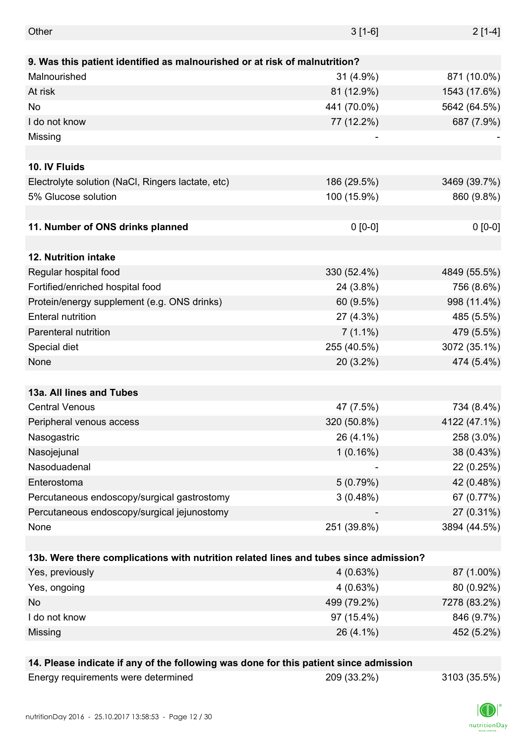| Other                                                                                 | $3[1-6]$    | $2[1-4]$     |
|---------------------------------------------------------------------------------------|-------------|--------------|
|                                                                                       |             |              |
| 9. Was this patient identified as malnourished or at risk of malnutrition?            |             |              |
| Malnourished                                                                          | $31(4.9\%)$ | 871 (10.0%)  |
| At risk                                                                               | 81 (12.9%)  | 1543 (17.6%) |
| No                                                                                    | 441 (70.0%) | 5642 (64.5%) |
| I do not know                                                                         | 77 (12.2%)  | 687 (7.9%)   |
| Missing                                                                               |             |              |
|                                                                                       |             |              |
| 10. IV Fluids                                                                         |             |              |
| Electrolyte solution (NaCl, Ringers lactate, etc)                                     | 186 (29.5%) | 3469 (39.7%) |
| 5% Glucose solution                                                                   | 100 (15.9%) | 860 (9.8%)   |
|                                                                                       |             |              |
| 11. Number of ONS drinks planned                                                      | $0 [0-0]$   | $0 [0-0]$    |
|                                                                                       |             |              |
| 12. Nutrition intake                                                                  |             |              |
| Regular hospital food                                                                 | 330 (52.4%) | 4849 (55.5%) |
| Fortified/enriched hospital food                                                      | 24 (3.8%)   | 756 (8.6%)   |
| Protein/energy supplement (e.g. ONS drinks)                                           | 60 (9.5%)   | 998 (11.4%)  |
| <b>Enteral nutrition</b>                                                              | 27 (4.3%)   | 485 (5.5%)   |
| Parenteral nutrition                                                                  | $7(1.1\%)$  | 479 (5.5%)   |
| Special diet                                                                          | 255 (40.5%) | 3072 (35.1%) |
| None                                                                                  | 20 (3.2%)   | 474 (5.4%)   |
|                                                                                       |             |              |
| 13a. All lines and Tubes                                                              |             |              |
| <b>Central Venous</b>                                                                 | 47 (7.5%)   | 734 (8.4%)   |
| Peripheral venous access                                                              | 320 (50.8%) | 4122 (47.1%) |
| Nasogastric                                                                           | 26 (4.1%)   | 258 (3.0%)   |
| Nasojejunal                                                                           | 1(0.16%)    | 38 (0.43%)   |
| Nasoduadenal                                                                          |             | 22 (0.25%)   |
| Enterostoma                                                                           | 5(0.79%)    | 42 (0.48%)   |
| Percutaneous endoscopy/surgical gastrostomy                                           | 3(0.48%)    | 67 (0.77%)   |
| Percutaneous endoscopy/surgical jejunostomy                                           |             | 27 (0.31%)   |
| None                                                                                  | 251 (39.8%) | 3894 (44.5%) |
|                                                                                       |             |              |
| 13b. Were there complications with nutrition related lines and tubes since admission? |             |              |
| Yes, previously                                                                       | 4(0.63%)    | 87 (1.00%)   |
| Yes, ongoing                                                                          | 4(0.63%)    | 80 (0.92%)   |
| No                                                                                    | 499 (79.2%) | 7278 (83.2%) |
| I do not know                                                                         | 97 (15.4%)  | 846 (9.7%)   |
| Missing                                                                               | 26 (4.1%)   | 452 (5.2%)   |
|                                                                                       |             |              |
| 14. Please indicate if any of the following was done for this patient since admission |             |              |

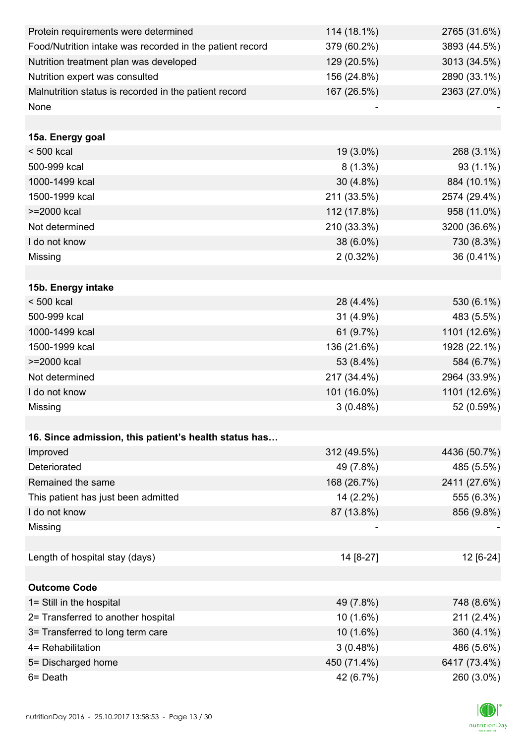| Protein requirements were determined                     | 114 (18.1%) | 2765 (31.6%) |
|----------------------------------------------------------|-------------|--------------|
| Food/Nutrition intake was recorded in the patient record | 379 (60.2%) | 3893 (44.5%) |
| Nutrition treatment plan was developed                   | 129 (20.5%) | 3013 (34.5%) |
| Nutrition expert was consulted                           | 156 (24.8%) | 2890 (33.1%) |
| Malnutrition status is recorded in the patient record    | 167 (26.5%) | 2363 (27.0%) |
| None                                                     |             |              |
|                                                          |             |              |
| 15a. Energy goal                                         |             |              |
| < 500 kcal                                               | 19 (3.0%)   | 268 (3.1%)   |
| 500-999 kcal                                             | $8(1.3\%)$  | 93 (1.1%)    |
| 1000-1499 kcal                                           | $30(4.8\%)$ | 884 (10.1%)  |
| 1500-1999 kcal                                           | 211 (33.5%) | 2574 (29.4%) |
| >=2000 kcal                                              | 112 (17.8%) | 958 (11.0%)  |
| Not determined                                           | 210 (33.3%) | 3200 (36.6%) |
| I do not know                                            | 38 (6.0%)   | 730 (8.3%)   |
| Missing                                                  | $2(0.32\%)$ | 36 (0.41%)   |
|                                                          |             |              |
| 15b. Energy intake                                       |             |              |
| $< 500$ kcal                                             | 28 (4.4%)   | 530 (6.1%)   |
| 500-999 kcal                                             | 31 (4.9%)   | 483 (5.5%)   |
| 1000-1499 kcal                                           | 61 (9.7%)   | 1101 (12.6%) |
| 1500-1999 kcal                                           | 136 (21.6%) | 1928 (22.1%) |
| >=2000 kcal                                              | 53 (8.4%)   | 584 (6.7%)   |
| Not determined                                           | 217 (34.4%) | 2964 (33.9%) |
| I do not know                                            | 101 (16.0%) | 1101 (12.6%) |
| Missing                                                  | 3(0.48%)    | 52 (0.59%)   |
|                                                          |             |              |
| 16. Since admission, this patient's health status has    |             |              |
| Improved                                                 | 312 (49.5%) | 4436 (50.7%) |
| Deteriorated                                             | 49 (7.8%)   | 485 (5.5%)   |
| Remained the same                                        | 168 (26.7%) | 2411 (27.6%) |
| This patient has just been admitted                      | 14 (2.2%)   | 555 (6.3%)   |
| I do not know                                            | 87 (13.8%)  | 856 (9.8%)   |
| Missing                                                  |             |              |
|                                                          |             |              |
| Length of hospital stay (days)                           | 14 [8-27]   | 12 [6-24]    |
|                                                          |             |              |
| <b>Outcome Code</b>                                      |             |              |
| 1= Still in the hospital                                 | 49 (7.8%)   | 748 (8.6%)   |
| 2= Transferred to another hospital                       | 10(1.6%)    | 211 (2.4%)   |
| 3= Transferred to long term care                         | 10 (1.6%)   | 360 (4.1%)   |
| 4= Rehabilitation                                        | 3(0.48%)    | 486 (5.6%)   |
| 5= Discharged home                                       | 450 (71.4%) | 6417 (73.4%) |
| 6= Death                                                 | 42 (6.7%)   | 260 (3.0%)   |

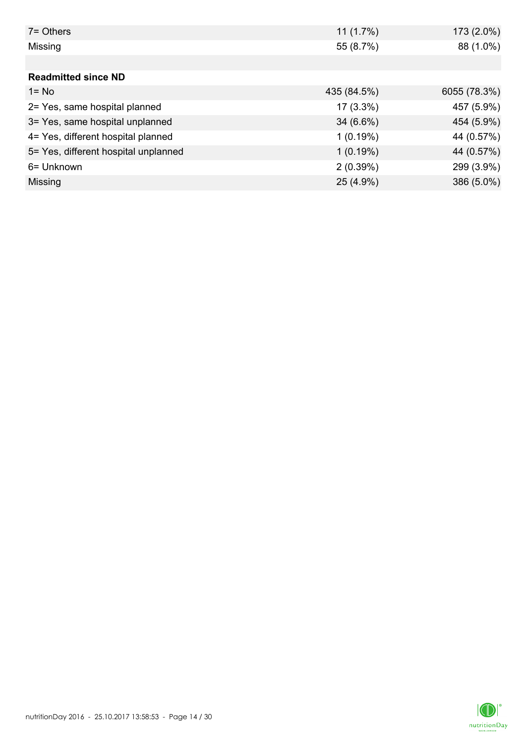| 7= Others                            | 11(1.7%)    | 173 (2.0%)   |
|--------------------------------------|-------------|--------------|
| Missing                              | 55 (8.7%)   | 88 (1.0%)    |
|                                      |             |              |
| <b>Readmitted since ND</b>           |             |              |
| $1 = No$                             | 435 (84.5%) | 6055 (78.3%) |
| 2= Yes, same hospital planned        | $17(3.3\%)$ | 457 (5.9%)   |
| 3= Yes, same hospital unplanned      | $34(6.6\%)$ | 454 (5.9%)   |
| 4= Yes, different hospital planned   | 1(0.19%)    | 44 (0.57%)   |
| 5= Yes, different hospital unplanned | 1(0.19%)    | 44 (0.57%)   |
| 6= Unknown                           | 2(0.39%)    | 299 (3.9%)   |
| Missing                              | 25 (4.9%)   | 386 (5.0%)   |

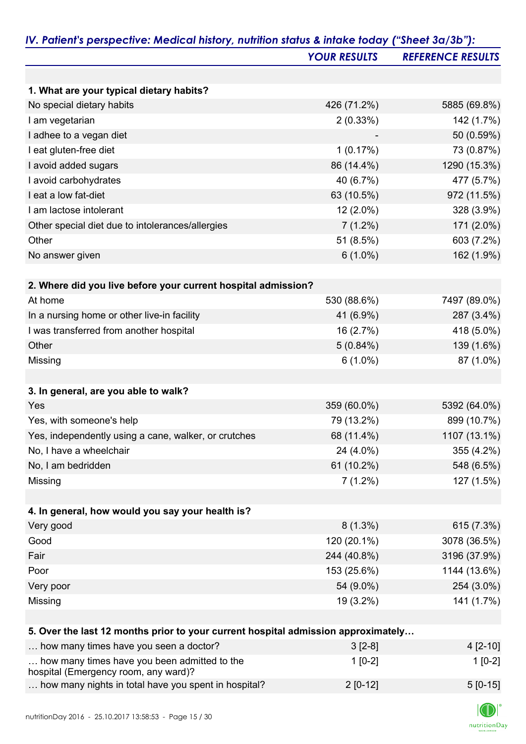|                                                                                   | <b>YOUR RESULTS</b>       | <b>REFERENCE RESULTS</b> |
|-----------------------------------------------------------------------------------|---------------------------|--------------------------|
|                                                                                   |                           |                          |
| 1. What are your typical dietary habits?                                          |                           |                          |
| No special dietary habits                                                         | 426 (71.2%)               | 5885 (69.8%)             |
| I am vegetarian                                                                   | 2(0.33%)                  | 142 (1.7%)               |
| I adhee to a vegan diet                                                           |                           | 50 (0.59%)               |
| I eat gluten-free diet                                                            | 1(0.17%)                  | 73 (0.87%)               |
| I avoid added sugars                                                              | 86 (14.4%)                | 1290 (15.3%)             |
| I avoid carbohydrates                                                             | 40 (6.7%)                 | 477 (5.7%)               |
| I eat a low fat-diet                                                              | 63 (10.5%)                | 972 (11.5%)              |
| I am lactose intolerant                                                           | $12(2.0\%)$               | 328 (3.9%)               |
| Other special diet due to intolerances/allergies                                  | $7(1.2\%)$                | 171 (2.0%)               |
| Other                                                                             | 51 (8.5%)                 | 603 (7.2%)               |
| No answer given                                                                   | $6(1.0\%)$                | 162 (1.9%)               |
|                                                                                   |                           |                          |
| 2. Where did you live before your current hospital admission?<br>At home          | 530 (88.6%)               | 7497 (89.0%)             |
|                                                                                   |                           | 287 (3.4%)               |
| In a nursing home or other live-in facility                                       | 41 (6.9%)                 |                          |
| I was transferred from another hospital<br>Other                                  | 16 (2.7%)                 | 418 (5.0%)               |
| Missing                                                                           | $5(0.84\%)$<br>$6(1.0\%)$ | 139 (1.6%)<br>87 (1.0%)  |
|                                                                                   |                           |                          |
| 3. In general, are you able to walk?                                              |                           |                          |
| Yes                                                                               | 359 (60.0%)               | 5392 (64.0%)             |
| Yes, with someone's help                                                          | 79 (13.2%)                | 899 (10.7%)              |
| Yes, independently using a cane, walker, or crutches                              | 68 (11.4%)                | 1107 (13.1%)             |
| No, I have a wheelchair                                                           | 24 (4.0%)                 | 355 (4.2%)               |
| No, I am bedridden                                                                | 61 (10.2%)                | 548 (6.5%)               |
| Missing                                                                           | $7(1.2\%)$                | 127 (1.5%)               |
|                                                                                   |                           |                          |
| 4. In general, how would you say your health is?                                  |                           |                          |
| Very good                                                                         | $8(1.3\%)$                | 615 (7.3%)               |
| Good                                                                              | 120 (20.1%)               | 3078 (36.5%)             |
| Fair                                                                              | 244 (40.8%)               | 3196 (37.9%)             |
| Poor                                                                              | 153 (25.6%)               | 1144 (13.6%)             |
| Very poor                                                                         | 54 (9.0%)                 | 254 (3.0%)               |
| Missing                                                                           | 19 (3.2%)                 | 141 (1.7%)               |
| 5. Over the last 12 months prior to your current hospital admission approximately |                           |                          |
| how many times have you seen a doctor?                                            | $3[2-8]$                  | 4 [2-10]                 |
| how many times have you been admitted to the                                      | $1[0-2]$                  | $1[0-2]$                 |

hospital (Emergency room, any ward)?

... how many nights in total have you spent in hospital?  $2 [0-12]$  5 [0-15]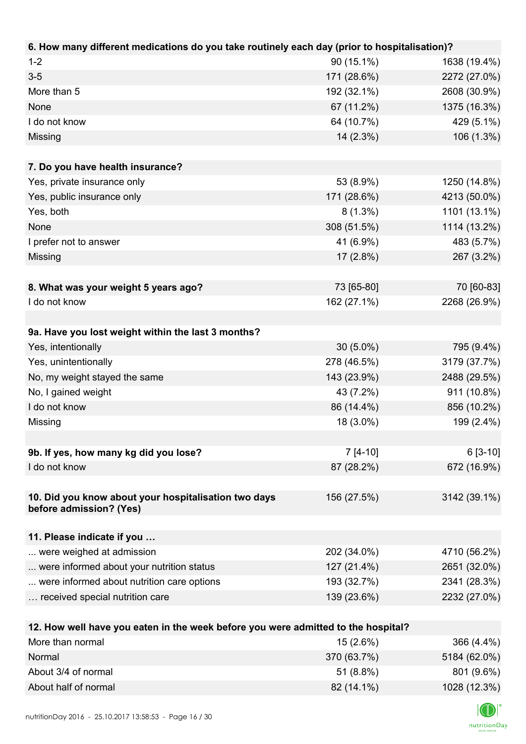| 6. How many different medications do you take routinely each day (prior to hospitalisation)?          |             |                                 |
|-------------------------------------------------------------------------------------------------------|-------------|---------------------------------|
| $1 - 2$                                                                                               | 90 (15.1%)  | 1638 (19.4%)                    |
| $3-5$                                                                                                 | 171 (28.6%) | 2272 (27.0%)                    |
| More than 5                                                                                           | 192 (32.1%) | 2608 (30.9%)                    |
| None                                                                                                  | 67 (11.2%)  | 1375 (16.3%)                    |
| I do not know                                                                                         | 64 (10.7%)  | 429 (5.1%)                      |
| Missing                                                                                               | 14 (2.3%)   | 106 (1.3%)                      |
|                                                                                                       |             |                                 |
| 7. Do you have health insurance?                                                                      |             |                                 |
| Yes, private insurance only                                                                           | 53 (8.9%)   | 1250 (14.8%)                    |
| Yes, public insurance only                                                                            | 171 (28.6%) | 4213 (50.0%)                    |
| Yes, both                                                                                             | $8(1.3\%)$  | 1101 (13.1%)                    |
| None                                                                                                  | 308 (51.5%) | 1114 (13.2%)                    |
| I prefer not to answer                                                                                | 41 (6.9%)   | 483 (5.7%)                      |
| Missing                                                                                               | $17(2.8\%)$ | 267 (3.2%)                      |
|                                                                                                       |             |                                 |
| 8. What was your weight 5 years ago?                                                                  | 73 [65-80]  | 70 [60-83]                      |
| I do not know                                                                                         | 162 (27.1%) | 2268 (26.9%)                    |
|                                                                                                       |             |                                 |
| 9a. Have you lost weight within the last 3 months?                                                    |             |                                 |
| Yes, intentionally                                                                                    | $30(5.0\%)$ | 795 (9.4%)                      |
| Yes, unintentionally                                                                                  | 278 (46.5%) | 3179 (37.7%)                    |
| No, my weight stayed the same                                                                         | 143 (23.9%) | 2488 (29.5%)                    |
| No, I gained weight                                                                                   | 43 (7.2%)   | 911 (10.8%)                     |
| I do not know                                                                                         | 86 (14.4%)  | 856 (10.2%)                     |
| Missing                                                                                               | 18 (3.0%)   | 199 (2.4%)                      |
|                                                                                                       |             |                                 |
| 9b. If yes, how many kg did you lose?                                                                 | $7[4-10]$   | $6[3-10]$                       |
| I do not know                                                                                         | 87 (28.2%)  | 672 (16.9%)                     |
|                                                                                                       |             |                                 |
| 10. Did you know about your hospitalisation two days                                                  | 156 (27.5%) | 3142 (39.1%)                    |
| before admission? (Yes)                                                                               |             |                                 |
|                                                                                                       |             |                                 |
| 11. Please indicate if you                                                                            | 202 (34.0%) |                                 |
| were weighed at admission<br>were informed about your nutrition status                                | 127 (21.4%) | 4710 (56.2%)                    |
|                                                                                                       |             | 2651 (32.0%)                    |
| were informed about nutrition care options                                                            | 193 (32.7%) | 2341 (28.3%)                    |
| received special nutrition care                                                                       | 139 (23.6%) | 2232 (27.0%)                    |
|                                                                                                       |             |                                 |
| 12. How well have you eaten in the week before you were admitted to the hospital?<br>More than normal | 15 (2.6%)   |                                 |
| Norman <sup>I</sup>                                                                                   | 270(6270)   | 366 (4.4%)<br>$EAOA$ (CO $OO$ ) |

| Normal               | 370 (63.7%) | 5184 (62.0%) |
|----------------------|-------------|--------------|
| About 3/4 of normal  | $51(8.8\%)$ | 801 (9.6%)   |
| About half of normal | 82 (14.1%)  | 1028 (12.3%) |

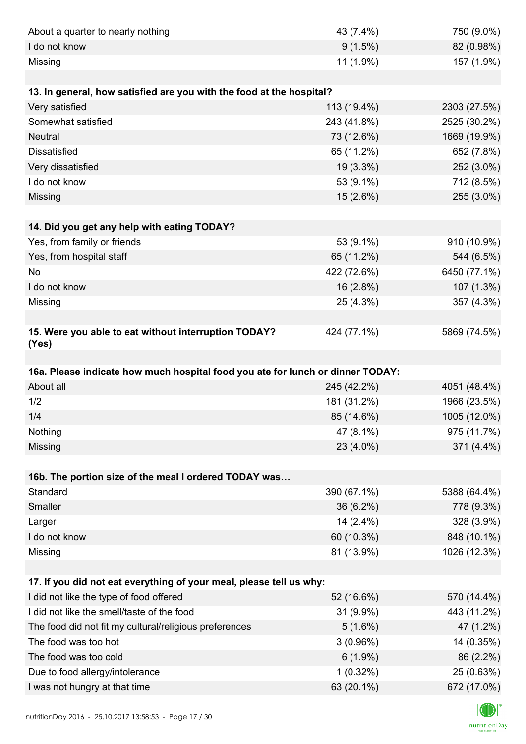| About a quarter to nearly nothing                                              | 43 (7.4%)                 | 750 (9.0%)                                                                                                            |
|--------------------------------------------------------------------------------|---------------------------|-----------------------------------------------------------------------------------------------------------------------|
| I do not know                                                                  | $9(1.5\%)$                | 82 (0.98%)                                                                                                            |
| Missing                                                                        | 11 (1.9%)                 | 157 (1.9%)                                                                                                            |
|                                                                                |                           |                                                                                                                       |
| 13. In general, how satisfied are you with the food at the hospital?           |                           |                                                                                                                       |
| Very satisfied                                                                 | 113 (19.4%)               | 2303 (27.5%)                                                                                                          |
| Somewhat satisfied                                                             | 243 (41.8%)               | 2525 (30.2%)                                                                                                          |
| <b>Neutral</b>                                                                 | 73 (12.6%)                | 1669 (19.9%)                                                                                                          |
| <b>Dissatisfied</b>                                                            | 65 (11.2%)                | 652 (7.8%)                                                                                                            |
| Very dissatisfied                                                              | 19 (3.3%)                 | 252 (3.0%)                                                                                                            |
| I do not know                                                                  | 53 (9.1%)                 | 712 (8.5%)                                                                                                            |
| Missing                                                                        | 15 (2.6%)                 | 255 (3.0%)                                                                                                            |
|                                                                                |                           |                                                                                                                       |
| 14. Did you get any help with eating TODAY?                                    |                           |                                                                                                                       |
| Yes, from family or friends                                                    | 53 (9.1%)                 | 910 (10.9%)                                                                                                           |
| Yes, from hospital staff                                                       | 65 (11.2%)                | 544 (6.5%)                                                                                                            |
| No                                                                             | 422 (72.6%)               | 6450 (77.1%)                                                                                                          |
| I do not know                                                                  | 16 (2.8%)                 | 107 (1.3%)                                                                                                            |
| Missing                                                                        | 25 (4.3%)                 | 357 (4.3%)                                                                                                            |
|                                                                                |                           |                                                                                                                       |
| 15. Were you able to eat without interruption TODAY?<br>(Yes)                  | 424 (77.1%)               | 5869 (74.5%)                                                                                                          |
|                                                                                |                           |                                                                                                                       |
|                                                                                |                           |                                                                                                                       |
| 16a. Please indicate how much hospital food you ate for lunch or dinner TODAY: |                           |                                                                                                                       |
| About all                                                                      | 245 (42.2%)               |                                                                                                                       |
| 1/2                                                                            | 181 (31.2%)               | 1966 (23.5%)                                                                                                          |
| 1/4                                                                            | 85 (14.6%)                |                                                                                                                       |
| Nothing                                                                        | 47 (8.1%)                 |                                                                                                                       |
| Missing                                                                        | 23 (4.0%)                 |                                                                                                                       |
|                                                                                |                           |                                                                                                                       |
| 16b. The portion size of the meal I ordered TODAY was                          |                           |                                                                                                                       |
| Standard                                                                       | 390 (67.1%)               |                                                                                                                       |
| Smaller                                                                        | 36 (6.2%)                 |                                                                                                                       |
| Larger                                                                         | 14 (2.4%)                 |                                                                                                                       |
| I do not know                                                                  | 60 (10.3%)                | 848 (10.1%)                                                                                                           |
| Missing                                                                        | 81 (13.9%)                | 4051 (48.4%)<br>1005 (12.0%)<br>975 (11.7%)<br>371 (4.4%)<br>5388 (64.4%)<br>778 (9.3%)<br>328 (3.9%)<br>1026 (12.3%) |
|                                                                                |                           |                                                                                                                       |
| 17. If you did not eat everything of your meal, please tell us why:            |                           |                                                                                                                       |
| I did not like the type of food offered                                        | 52 (16.6%)                | 570 (14.4%)                                                                                                           |
| I did not like the smell/taste of the food                                     | 31 (9.9%)                 | 443 (11.2%)                                                                                                           |
| The food did not fit my cultural/religious preferences                         | $5(1.6\%)$                | 47 (1.2%)                                                                                                             |
| The food was too hot                                                           | 3(0.96%)                  | 14 (0.35%)                                                                                                            |
| The food was too cold                                                          | $6(1.9\%)$                | 86 (2.2%)                                                                                                             |
| Due to food allergy/intolerance<br>I was not hungry at that time               | $1(0.32\%)$<br>63 (20.1%) | 25 (0.63%)<br>672 (17.0%)                                                                                             |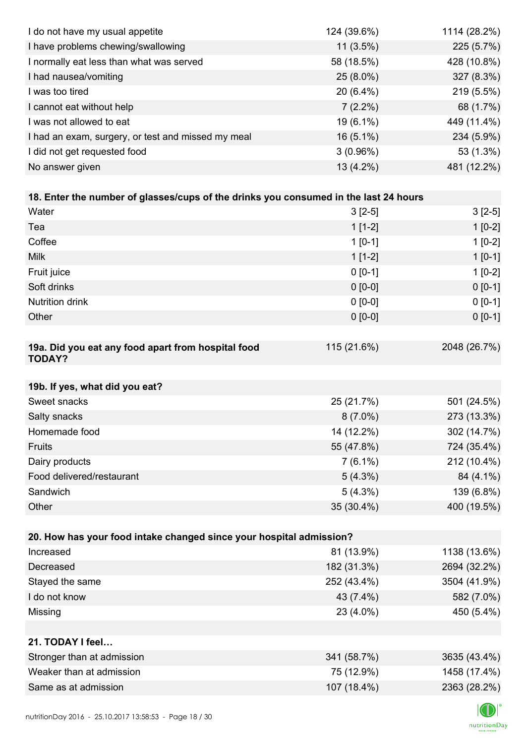| I do not have my usual appetite                                                      | 124 (39.6%) | 1114 (28.2%) |
|--------------------------------------------------------------------------------------|-------------|--------------|
| I have problems chewing/swallowing                                                   | 11 (3.5%)   | 225 (5.7%)   |
| I normally eat less than what was served                                             | 58 (18.5%)  | 428 (10.8%)  |
| I had nausea/vomiting                                                                | 25 (8.0%)   | 327 (8.3%)   |
| I was too tired                                                                      | 20 (6.4%)   | 219 (5.5%)   |
| I cannot eat without help                                                            | $7(2.2\%)$  | 68 (1.7%)    |
| I was not allowed to eat                                                             | 19 (6.1%)   | 449 (11.4%)  |
| I had an exam, surgery, or test and missed my meal                                   | 16 (5.1%)   | 234 (5.9%)   |
| I did not get requested food                                                         | 3(0.96%)    | 53 (1.3%)    |
| No answer given                                                                      | 13 (4.2%)   | 481 (12.2%)  |
|                                                                                      |             |              |
| 18. Enter the number of glasses/cups of the drinks you consumed in the last 24 hours |             |              |
| Water                                                                                | $3[2-5]$    | $3[2-5]$     |
| Tea                                                                                  | $1[1-2]$    | $1[0-2]$     |
| Coffee                                                                               | $1 [0-1]$   | $1[0-2]$     |
| <b>Milk</b>                                                                          | $1[1-2]$    | $1[0-1]$     |
| Fruit juice                                                                          | $0 [0-1]$   | $1[0-2]$     |
| Soft drinks                                                                          | $0 [0-0]$   | $0[0-1]$     |
| <b>Nutrition drink</b>                                                               | $0 [0-0]$   | $0 [0-1]$    |
| Other                                                                                | $0 [0-0]$   | $0 [0-1]$    |
|                                                                                      |             |              |
| 19a. Did you eat any food apart from hospital food<br><b>TODAY?</b>                  | 115 (21.6%) | 2048 (26.7%) |
|                                                                                      |             |              |
| 19b. If yes, what did you eat?                                                       |             |              |
| Sweet snacks                                                                         | 25 (21.7%)  | 501 (24.5%)  |
| Salty snacks                                                                         | $8(7.0\%)$  | 273 (13.3%)  |
| Homemade food                                                                        | 14 (12.2%)  | 302 (14.7%)  |
| Fruits                                                                               | 55 (47.8%)  | 724 (35.4%)  |
| Dairy products                                                                       | $7(6.1\%)$  | 212 (10.4%)  |
| Food delivered/restaurant                                                            | $5(4.3\%)$  | 84 (4.1%)    |
| Sandwich                                                                             | $5(4.3\%)$  | 139 (6.8%)   |
| Other                                                                                | 35 (30.4%)  | 400 (19.5%)  |
|                                                                                      |             |              |
| 20. How has your food intake changed since your hospital admission?                  |             |              |
| Increased                                                                            | 81 (13.9%)  | 1138 (13.6%) |
| Decreased                                                                            | 182 (31.3%) | 2694 (32.2%) |
| Stayed the same                                                                      | 252 (43.4%) | 3504 (41.9%) |
| I do not know                                                                        | 43 (7.4%)   | 582 (7.0%)   |
| Missing                                                                              | 23 (4.0%)   | 450 (5.4%)   |
|                                                                                      |             |              |
| 21. TODAY I feel                                                                     |             |              |
| Stronger than at admission                                                           | 341 (58.7%) | 3635 (43.4%) |
| Weaker than at admission                                                             | 75 (12.9%)  | 1458 (17.4%) |
| Same as at admission                                                                 | 107 (18.4%) | 2363 (28.2%) |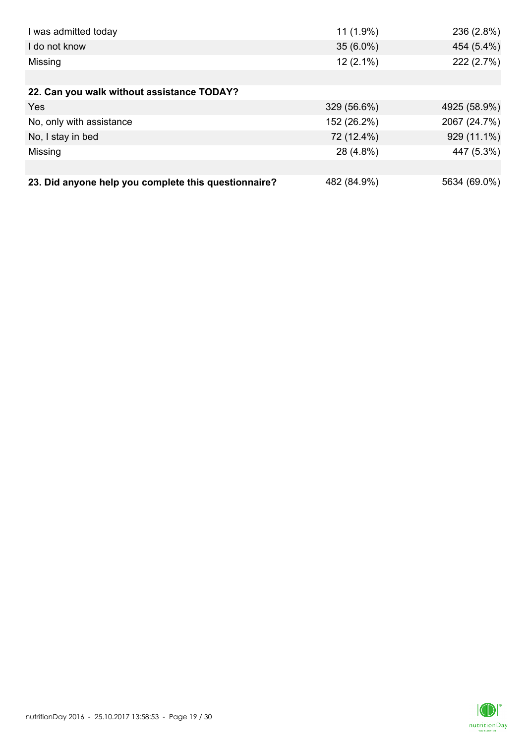| I was admitted today                                 | $11(1.9\%)$ | 236 (2.8%)   |
|------------------------------------------------------|-------------|--------------|
| I do not know                                        | $35(6.0\%)$ | 454 (5.4%)   |
| Missing                                              | $12(2.1\%)$ | 222 (2.7%)   |
|                                                      |             |              |
| 22. Can you walk without assistance TODAY?           |             |              |
| Yes                                                  | 329 (56.6%) | 4925 (58.9%) |
| No, only with assistance                             | 152 (26.2%) | 2067 (24.7%) |
| No, I stay in bed                                    | 72 (12.4%)  | 929 (11.1%)  |
| Missing                                              | 28 (4.8%)   | 447 (5.3%)   |
|                                                      |             |              |
| 23. Did anyone help you complete this questionnaire? | 482 (84.9%) | 5634 (69.0%) |

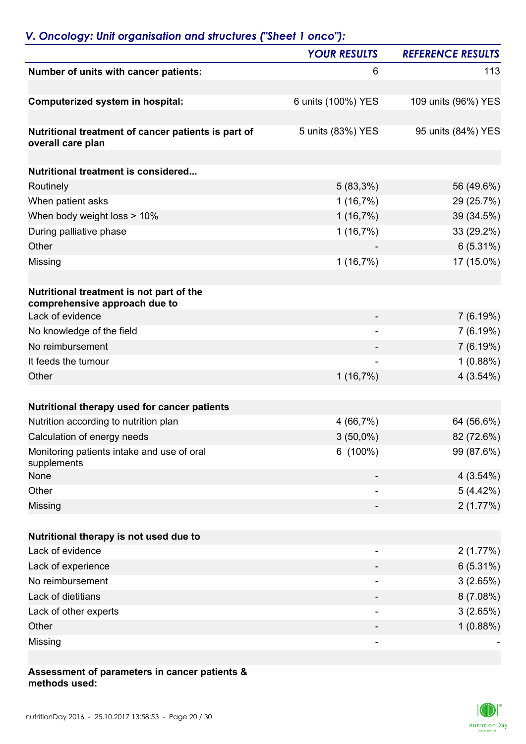## *V. Oncology: Unit organisation and structures ("Sheet 1 onco"):*

|                                                                           | <b>YOUR RESULTS</b>      | <b>REFERENCE RESULTS</b> |
|---------------------------------------------------------------------------|--------------------------|--------------------------|
| Number of units with cancer patients:                                     | 6                        | 113                      |
| Computerized system in hospital:                                          | 6 units (100%) YES       | 109 units (96%) YES      |
| Nutritional treatment of cancer patients is part of<br>overall care plan  | 5 units (83%) YES        | 95 units (84%) YES       |
| Nutritional treatment is considered                                       |                          |                          |
| Routinely                                                                 | $5(83,3\%)$              | 56 (49.6%)               |
|                                                                           |                          |                          |
| When patient asks                                                         | 1(16,7%)                 | 29 (25.7%)               |
| When body weight loss > 10%                                               | 1(16,7%)                 | 39 (34.5%)               |
| During palliative phase<br>Other                                          | 1(16,7%)                 | 33 (29.2%)               |
|                                                                           |                          | $6(5.31\%)$              |
| Missing                                                                   | 1(16,7%)                 | 17 (15.0%)               |
| Nutritional treatment is not part of the<br>comprehensive approach due to |                          |                          |
| Lack of evidence                                                          |                          | 7(6.19%)                 |
| No knowledge of the field                                                 | $\overline{\phantom{0}}$ | 7(6.19%)                 |
| No reimbursement                                                          |                          | 7(6.19%)                 |
| It feeds the tumour                                                       | -                        | 1(0.88%)                 |
| Other                                                                     | 1(16,7%)                 | 4(3.54%)                 |
| Nutritional therapy used for cancer patients                              |                          |                          |
| Nutrition according to nutrition plan                                     | 4(66,7%)                 | 64 (56.6%)               |
| Calculation of energy needs                                               | $3(50,0\%)$              | 82 (72.6%)               |
| Monitoring patients intake and use of oral<br>supplements                 | $6(100\%)$               | 99 (87.6%)               |
| None                                                                      |                          | 4(3.54%)                 |
| Other                                                                     |                          | 5(4.42%)                 |
| Missing                                                                   |                          | 2(1.77%)                 |
| Nutritional therapy is not used due to                                    |                          |                          |
| Lack of evidence                                                          |                          | 2(1.77%)                 |
| Lack of experience                                                        |                          | 6(5.31%)                 |
| No reimbursement                                                          |                          | 3(2.65%)                 |
| Lack of dietitians                                                        |                          | 8(7.08%)                 |
| Lack of other experts                                                     | -                        | 3(2.65%)                 |
| Other                                                                     |                          | 1(0.88%)                 |
| Missing                                                                   |                          |                          |
|                                                                           |                          |                          |

#### **Assessment of parameters in cancer patients & methods used:**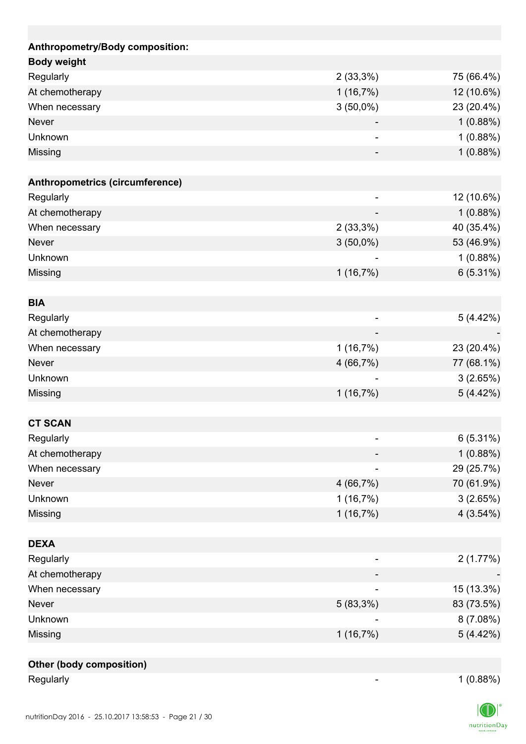| Anthropometry/Body composition: |                              |             |
|---------------------------------|------------------------------|-------------|
| <b>Body weight</b>              |                              |             |
| Regularly                       | $2(33,3\%)$                  | 75 (66.4%)  |
|                                 |                              |             |
| At chemotherapy                 | 1(16,7%)                     | 12 (10.6%)  |
| When necessary                  | $3(50,0\%)$                  | 23 (20.4%)  |
| <b>Never</b>                    |                              | 1(0.88%)    |
| Unknown                         | $\qquad \qquad \blacksquare$ | 1(0.88%)    |
| Missing                         |                              | 1(0.88%)    |
| Anthropometrics (circumference) |                              |             |
| Regularly                       |                              | 12 (10.6%)  |
| At chemotherapy                 |                              | 1(0.88%)    |
| When necessary                  | 2(33,3%)                     | 40 (35.4%)  |
| <b>Never</b>                    |                              |             |
|                                 | $3(50,0\%)$                  | 53 (46.9%)  |
| Unknown                         |                              | 1(0.88%)    |
| Missing                         | 1(16,7%)                     | $6(5.31\%)$ |
| <b>BIA</b>                      |                              |             |
| Regularly                       |                              | 5(4.42%)    |
|                                 |                              |             |
| At chemotherapy                 |                              |             |
| When necessary                  | 1(16,7%)                     | 23 (20.4%)  |
| <b>Never</b>                    | 4 (66,7%)                    | 77 (68.1%)  |
| Unknown                         |                              | 3(2.65%)    |
| Missing                         | 1(16,7%)                     | 5(4.42%)    |
| <b>CT SCAN</b>                  |                              |             |
| Regularly                       | $\overline{\phantom{a}}$     | $6(5.31\%)$ |
| At chemotherapy                 |                              | 1(0.88%)    |
|                                 |                              |             |
| When necessary<br><b>Never</b>  | 4(66,7%)                     | 29 (25.7%)  |
|                                 |                              | 70 (61.9%)  |
| Unknown                         | 1(16,7%)                     | 3(2.65%)    |
| Missing                         | 1(16,7%)                     | 4(3.54%)    |
| <b>DEXA</b>                     |                              |             |
| Regularly                       |                              | 2(1.77%)    |
| At chemotherapy                 |                              |             |
| When necessary                  |                              | 15 (13.3%)  |
|                                 |                              |             |
| Never                           | 5 (83,3%)                    | 83 (73.5%)  |
| Unknown                         |                              | 8 (7.08%)   |
| Missing                         | 1(16,7%)                     | 5(4.42%)    |
| <b>Other (body composition)</b> |                              |             |
|                                 |                              |             |

Regularly 1 (0.88%)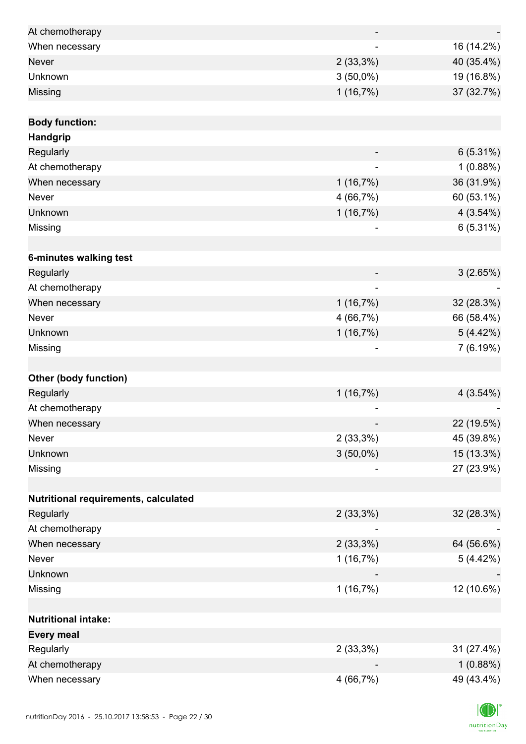| At chemotherapy                      |             |            |
|--------------------------------------|-------------|------------|
| When necessary                       |             | 16 (14.2%) |
| <b>Never</b>                         | $2(33,3\%)$ | 40 (35.4%) |
| Unknown                              | $3(50,0\%)$ | 19 (16.8%) |
| Missing                              | 1(16,7%)    | 37 (32.7%) |
|                                      |             |            |
| <b>Body function:</b>                |             |            |
| Handgrip                             |             |            |
| Regularly                            |             | 6(5.31%)   |
| At chemotherapy                      |             | 1(0.88%)   |
| When necessary                       | 1(16,7%)    | 36 (31.9%) |
| Never                                | 4 (66,7%)   | 60 (53.1%) |
| Unknown                              | 1(16,7%)    | 4(3.54%)   |
| Missing                              |             | 6(5.31%)   |
|                                      |             |            |
| 6-minutes walking test               |             |            |
| Regularly                            |             | 3(2.65%)   |
| At chemotherapy                      |             |            |
| When necessary                       | 1(16,7%)    | 32 (28.3%) |
| Never                                | 4 (66,7%)   | 66 (58.4%) |
| Unknown                              | 1(16,7%)    | 5(4.42%)   |
| Missing                              |             | 7(6.19%)   |
|                                      |             |            |
| <b>Other (body function)</b>         |             |            |
| Regularly                            | 1(16,7%)    | 4(3.54%)   |
| At chemotherapy                      | -           |            |
| When necessary                       |             | 22 (19.5%) |
| Never                                | $2(33,3\%)$ | 45 (39.8%) |
| Unknown                              | $3(50,0\%)$ | 15 (13.3%) |
| Missing                              |             | 27 (23.9%) |
|                                      |             |            |
| Nutritional requirements, calculated |             |            |
| Regularly                            | $2(33,3\%)$ | 32 (28.3%) |
| At chemotherapy                      |             |            |
| When necessary                       | $2(33,3\%)$ | 64 (56.6%) |
| Never                                | 1(16,7%)    | 5(4.42%)   |
| Unknown                              |             |            |
| Missing                              | 1(16,7%)    | 12 (10.6%) |
|                                      |             |            |
| <b>Nutritional intake:</b>           |             |            |
| <b>Every meal</b>                    |             |            |
| Regularly                            | $2(33,3\%)$ | 31 (27.4%) |
| At chemotherapy                      |             | 1(0.88%)   |
| When necessary                       | 4 (66,7%)   | 49 (43.4%) |

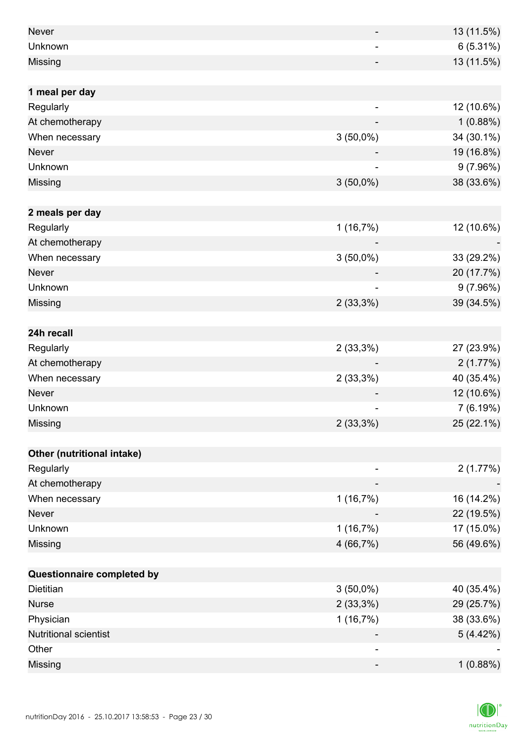| <b>Never</b>                          |                          | 13 (11.5%) |
|---------------------------------------|--------------------------|------------|
| Unknown                               |                          | 6(5.31%)   |
| Missing                               |                          | 13 (11.5%) |
|                                       |                          |            |
| 1 meal per day                        |                          |            |
| Regularly                             |                          | 12 (10.6%) |
| At chemotherapy                       |                          | 1(0.88%)   |
| When necessary                        | $3(50,0\%)$              | 34 (30.1%) |
| <b>Never</b>                          |                          | 19 (16.8%) |
| Unknown                               |                          | 9(7.96%)   |
| Missing                               | $3(50,0\%)$              | 38 (33.6%) |
|                                       |                          |            |
| 2 meals per day                       |                          |            |
| Regularly                             | 1(16,7%)                 | 12 (10.6%) |
| At chemotherapy                       |                          |            |
| When necessary                        | $3(50,0\%)$              | 33 (29.2%) |
| <b>Never</b>                          |                          | 20 (17.7%) |
| Unknown                               |                          | 9(7.96%)   |
| Missing                               | 2(33,3%)                 | 39 (34.5%) |
|                                       |                          |            |
| 24h recall                            |                          |            |
| Regularly                             | 2(33,3%)                 | 27 (23.9%) |
| At chemotherapy                       |                          | 2(1.77%)   |
| When necessary                        | $2(33,3\%)$              | 40 (35.4%) |
| <b>Never</b>                          |                          | 12 (10.6%) |
| Unknown                               |                          | 7(6.19%)   |
| Missing                               | 2(33,3%)                 | 25 (22.1%) |
|                                       |                          |            |
| Other (nutritional intake)            |                          |            |
| Regularly                             |                          | 2(1.77%)   |
| At chemotherapy                       |                          |            |
| When necessary                        | 1(16,7%)                 | 16 (14.2%) |
| Never                                 |                          | 22 (19.5%) |
| Unknown                               | 1(16,7%)                 | 17 (15.0%) |
| Missing                               | 4 (66,7%)                | 56 (49.6%) |
|                                       |                          |            |
| Questionnaire completed by            |                          |            |
| Dietitian                             | $3(50,0\%)$              | 40 (35.4%) |
| <b>Nurse</b>                          | $2(33,3\%)$              | 29 (25.7%) |
| Physician                             | 1(16,7%)                 | 38 (33.6%) |
| <b>Nutritional scientist</b><br>Other |                          | 5(4.42%)   |
|                                       |                          |            |
| Missing                               | $\overline{\phantom{0}}$ | 1(0.88%)   |

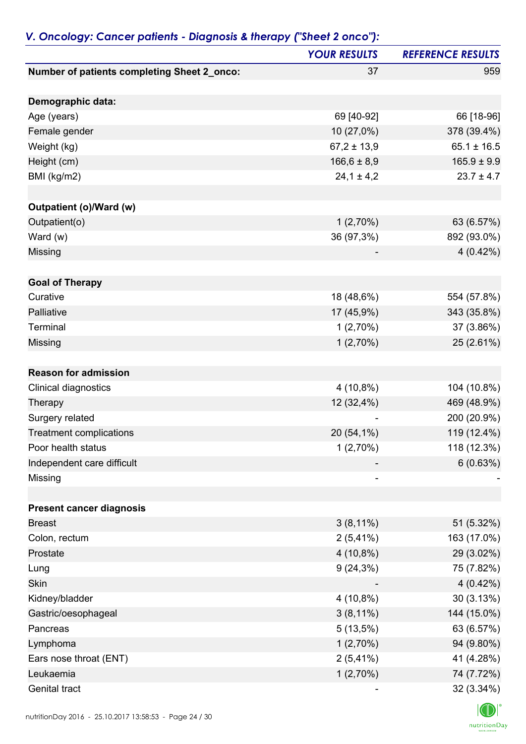|                                             | <b>YOUR RESULTS</b> | <b>REFERENCE RESULTS</b> |
|---------------------------------------------|---------------------|--------------------------|
| Number of patients completing Sheet 2_onco: | 37                  | 959                      |
| Demographic data:                           |                     |                          |
| Age (years)                                 | 69 [40-92]          | 66 [18-96]               |
| Female gender                               | 10 (27,0%)          | 378 (39.4%)              |
| Weight (kg)                                 | $67,2 \pm 13,9$     | $65.1 \pm 16.5$          |
| Height (cm)                                 | $166, 6 \pm 8, 9$   | $165.9 \pm 9.9$          |
| BMI (kg/m2)                                 | $24,1 \pm 4,2$      | $23.7 \pm 4.7$           |
| <b>Outpatient (o)/Ward (w)</b>              |                     |                          |
| Outpatient(o)                               | 1(2,70%)            | 63 (6.57%)               |
| Ward (w)                                    | 36 (97,3%)          | 892 (93.0%)              |
| Missing                                     |                     | $4(0.42\%)$              |
| <b>Goal of Therapy</b>                      |                     |                          |
| Curative                                    | 18 (48,6%)          | 554 (57.8%)              |
| Palliative                                  | 17 (45,9%)          | 343 (35.8%)              |
| Terminal                                    | 1(2,70%)            | 37 (3.86%)               |
| <b>Missing</b>                              | 1(2,70%)            | 25 (2.61%)               |
| <b>Reason for admission</b>                 |                     |                          |
| Clinical diagnostics                        | $4(10,8\%)$         | 104 (10.8%)              |
| Therapy                                     | 12 (32,4%)          | 469 (48.9%)              |
| Surgery related                             |                     | 200 (20.9%)              |
| <b>Treatment complications</b>              | 20 (54,1%)          | 119 (12.4%)              |
| Poor health status                          | 1(2,70%)            | 118 (12.3%)              |
| Independent care difficult                  |                     | 6(0.63%)                 |
| Missing                                     | -                   |                          |
| <b>Present cancer diagnosis</b>             |                     |                          |
| <b>Breast</b>                               | $3(8,11\%)$         | 51 (5.32%)               |
| Colon, rectum                               | $2(5,41\%)$         | 163 (17.0%)              |
| Prostate                                    | 4 (10,8%)           | 29 (3.02%)               |
| Lung                                        | $9(24,3\%)$         | 75 (7.82%)               |
| Skin                                        |                     | 4(0.42%)                 |
| Kidney/bladder                              | $4(10,8\%)$         | 30(3.13%)                |
| Gastric/oesophageal                         | $3(8,11\%)$         | 144 (15.0%)              |
| Pancreas                                    | $5(13,5\%)$         | 63 (6.57%)               |
| Lymphoma                                    | 1(2,70%)            | 94 (9.80%)               |
| Ears nose throat (ENT)                      | $2(5,41\%)$         | 41 (4.28%)               |
| Leukaemia                                   | 1(2,70%)            | 74 (7.72%)               |
| Genital tract                               |                     | 32 (3.34%)               |

### *V. Oncology: Cancer patients - Diagnosis & therapy ("Sheet 2 onco"):*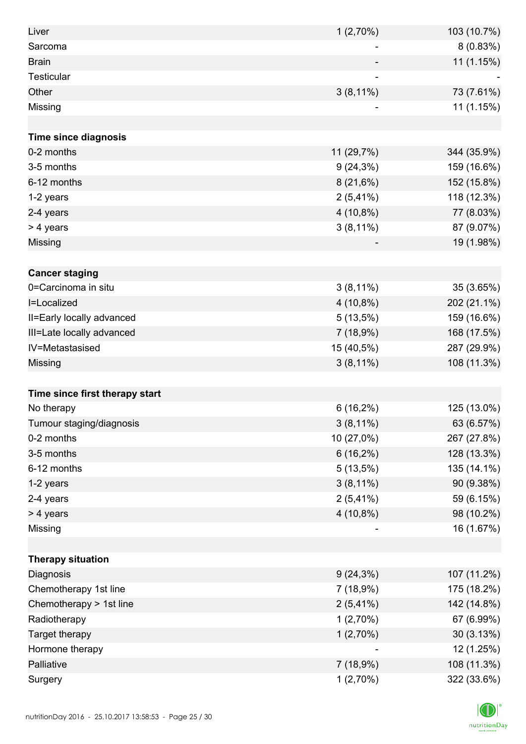| Liver                          | 1(2,70%)    | 103 (10.7%) |
|--------------------------------|-------------|-------------|
| Sarcoma                        |             | 8(0.83%)    |
| <b>Brain</b>                   |             | 11 (1.15%)  |
| Testicular                     |             |             |
| Other                          | $3(8,11\%)$ | 73 (7.61%)  |
| Missing                        |             | 11 (1.15%)  |
|                                |             |             |
| <b>Time since diagnosis</b>    |             |             |
| 0-2 months                     | 11 (29,7%)  | 344 (35.9%) |
| 3-5 months                     | $9(24,3\%)$ | 159 (16.6%) |
| 6-12 months                    | $8(21,6\%)$ | 152 (15.8%) |
| 1-2 years                      | $2(5,41\%)$ | 118 (12.3%) |
| 2-4 years                      | $4(10,8\%)$ | 77 (8.03%)  |
| > 4 years                      | $3(8,11\%)$ | 87 (9.07%)  |
| Missing                        |             | 19 (1.98%)  |
|                                |             |             |
| <b>Cancer staging</b>          |             |             |
| 0=Carcinoma in situ            | $3(8,11\%)$ | 35 (3.65%)  |
| I=Localized                    | $4(10,8\%)$ | 202 (21.1%) |
| II=Early locally advanced      | $5(13,5\%)$ | 159 (16.6%) |
| III=Late locally advanced      | 7(18,9%)    | 168 (17.5%) |
| IV=Metastasised                | 15 (40,5%)  | 287 (29.9%) |
| Missing                        | $3(8,11\%)$ | 108 (11.3%) |
|                                |             |             |
| Time since first therapy start |             |             |
| No therapy                     | $6(16,2\%)$ | 125 (13.0%) |
| Tumour staging/diagnosis       | $3(8,11\%)$ | 63 (6.57%)  |
| 0-2 months                     | 10 (27,0%)  | 267 (27.8%) |
| 3-5 months                     | $6(16,2\%)$ | 128 (13.3%) |
| 6-12 months                    | 5(13,5%)    | 135 (14.1%) |
| 1-2 years                      | $3(8,11\%)$ | 90 (9.38%)  |
| 2-4 years                      | $2(5,41\%)$ | 59 (6.15%)  |
| > 4 years                      | $4(10,8\%)$ | 98 (10.2%)  |
| Missing                        | -           | 16 (1.67%)  |
|                                |             |             |
| <b>Therapy situation</b>       |             |             |
| Diagnosis                      | $9(24,3\%)$ | 107 (11.2%) |
| Chemotherapy 1st line          | 7 (18,9%)   | 175 (18.2%) |
| Chemotherapy > 1st line        | $2(5,41\%)$ | 142 (14.8%) |
| Radiotherapy                   | 1(2,70%)    | 67 (6.99%)  |
| Target therapy                 | 1(2,70%)    | 30 (3.13%)  |
| Hormone therapy                |             | 12 (1.25%)  |
| Palliative                     | 7(18,9%)    | 108 (11.3%) |
| Surgery                        | 1(2,70%)    | 322 (33.6%) |

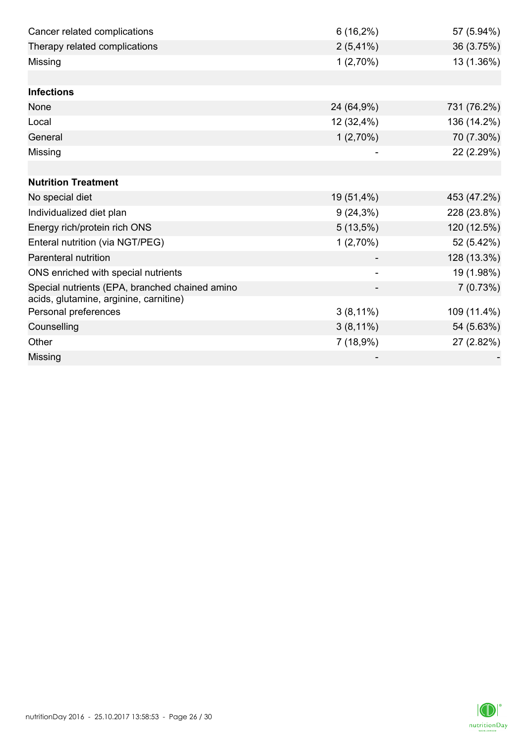| Cancer related complications                                                             | $6(16,2\%)$ | 57 (5.94%)  |
|------------------------------------------------------------------------------------------|-------------|-------------|
| Therapy related complications                                                            | $2(5,41\%)$ | 36 (3.75%)  |
| Missing                                                                                  | $1(2,70\%)$ | 13 (1.36%)  |
|                                                                                          |             |             |
| <b>Infections</b>                                                                        |             |             |
| None                                                                                     | 24 (64,9%)  | 731 (76.2%) |
| Local                                                                                    | 12 (32,4%)  | 136 (14.2%) |
| General                                                                                  | $1(2,70\%)$ | 70 (7.30%)  |
| Missing                                                                                  |             | 22 (2.29%)  |
|                                                                                          |             |             |
| <b>Nutrition Treatment</b>                                                               |             |             |
| No special diet                                                                          | 19 (51,4%)  | 453 (47.2%) |
| Individualized diet plan                                                                 | $9(24,3\%)$ | 228 (23.8%) |
| Energy rich/protein rich ONS                                                             | $5(13,5\%)$ | 120 (12.5%) |
| Enteral nutrition (via NGT/PEG)                                                          | 1(2,70%)    | 52 (5.42%)  |
| Parenteral nutrition                                                                     |             | 128 (13.3%) |
| ONS enriched with special nutrients                                                      |             | 19 (1.98%)  |
| Special nutrients (EPA, branched chained amino<br>acids, glutamine, arginine, carnitine) |             | 7(0.73%)    |
| Personal preferences                                                                     | $3(8,11\%)$ | 109 (11.4%) |
| Counselling                                                                              | $3(8,11\%)$ | 54 (5.63%)  |
| Other                                                                                    | 7(18,9%)    | 27 (2.82%)  |
| Missing                                                                                  |             |             |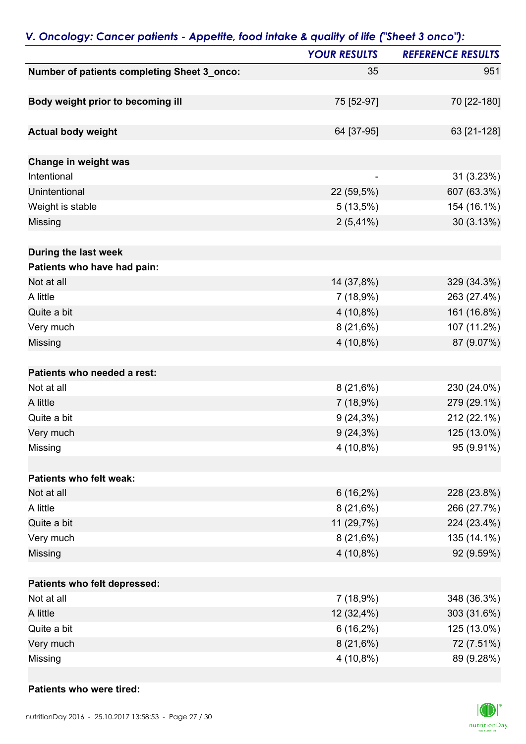|                                             | <b>YOUR RESULTS</b> | <b>REFERENCE RESULTS</b> |
|---------------------------------------------|---------------------|--------------------------|
| Number of patients completing Sheet 3_onco: | 35                  | 951                      |
|                                             | 75 [52-97]          | 70 [22-180]              |
| Body weight prior to becoming ill           |                     |                          |
| <b>Actual body weight</b>                   | 64 [37-95]          | 63 [21-128]              |
| Change in weight was                        |                     |                          |
| Intentional                                 |                     | 31 (3.23%)               |
| Unintentional                               | 22 (59,5%)          | 607 (63.3%)              |
| Weight is stable                            | $5(13,5\%)$         | 154 (16.1%)              |
| <b>Missing</b>                              | $2(5,41\%)$         | 30(3.13%)                |
| During the last week                        |                     |                          |
| Patients who have had pain:                 |                     |                          |
| Not at all                                  | 14 (37,8%)          | 329 (34.3%)              |
| A little                                    | 7(18,9%)            | 263 (27.4%)              |
| Quite a bit                                 | $4(10,8\%)$         | 161 (16.8%)              |
| Very much                                   | 8(21,6%)            | 107 (11.2%)              |
| <b>Missing</b>                              | 4 (10,8%)           | 87 (9.07%)               |
| Patients who needed a rest:                 |                     |                          |
| Not at all                                  | 8(21,6%)            | 230 (24.0%)              |
| A little                                    | 7(18,9%)            | 279 (29.1%)              |
| Quite a bit                                 | $9(24,3\%)$         | 212 (22.1%)              |
| Very much                                   | $9(24,3\%)$         | 125 (13.0%)              |
| Missing                                     | $4(10,8\%)$         | 95 (9.91%)               |
| Patients who felt weak:                     |                     |                          |
| Not at all                                  | $6(16,2\%)$         | 228 (23.8%)              |
| A little                                    | 8(21,6%)            | 266 (27.7%)              |
| Quite a bit                                 | 11 (29,7%)          | 224 (23.4%)              |
| Very much                                   | 8(21,6%)            | 135 (14.1%)              |
| <b>Missing</b>                              | $4(10,8\%)$         | 92 (9.59%)               |
| Patients who felt depressed:                |                     |                          |
| Not at all                                  | 7(18,9%)            | 348 (36.3%)              |
| A little                                    | 12 (32,4%)          | 303 (31.6%)              |
| Quite a bit                                 | $6(16,2\%)$         | 125 (13.0%)              |
| Very much                                   | $8(21,6\%)$         | 72 (7.51%)               |
| Missing                                     | 4 (10,8%)           | 89 (9.28%)               |

### *V. Oncology: Cancer patients - Appetite, food intake & quality of life ("Sheet 3 onco"):*

#### **Patients who were tired:**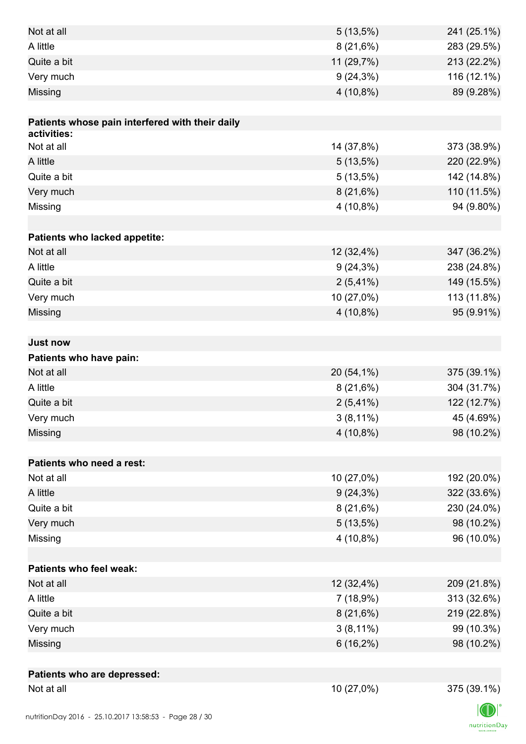| Not at all                                      | $5(13,5\%)$              | 241 (25.1%)              |
|-------------------------------------------------|--------------------------|--------------------------|
| A little                                        | 8(21,6%)                 | 283 (29.5%)              |
| Quite a bit                                     | 11 (29,7%)               | 213 (22.2%)              |
| Very much                                       | $9(24,3\%)$              | 116 (12.1%)              |
| Missing                                         | $4(10,8\%)$              | 89 (9.28%)               |
|                                                 |                          |                          |
| Patients whose pain interfered with their daily |                          |                          |
| activities:                                     |                          |                          |
| Not at all                                      | 14 (37,8%)               | 373 (38.9%)              |
| A little                                        | $5(13,5\%)$              | 220 (22.9%)              |
| Quite a bit                                     | $5(13,5\%)$              | 142 (14.8%)              |
| Very much                                       | 8(21,6%)                 | 110 (11.5%)              |
| Missing                                         | $4(10,8\%)$              | 94 (9.80%)               |
|                                                 |                          |                          |
| Patients who lacked appetite:                   |                          |                          |
| Not at all                                      | 12 (32,4%)               | 347 (36.2%)              |
| A little                                        | $9(24,3\%)$              | 238 (24.8%)              |
| Quite a bit                                     | $2(5,41\%)$              | 149 (15.5%)              |
| Very much                                       | 10 (27,0%)               | 113 (11.8%)              |
| Missing                                         | 4 (10,8%)                | 95 (9.91%)               |
|                                                 |                          |                          |
| <b>Just now</b>                                 |                          |                          |
| Patients who have pain:<br>Not at all           |                          |                          |
| A little                                        | 20 (54,1%)               | 375 (39.1%)              |
|                                                 | 8(21,6%)                 | 304 (31.7%)              |
| Quite a bit                                     | $2(5,41\%)$              | 122 (12.7%)              |
| Very much                                       | $3(8,11\%)$              | 45 (4.69%)               |
| Missing                                         | $4(10,8\%)$              | 98 (10.2%)               |
| Patients who need a rest:                       |                          |                          |
| Not at all                                      | 10 (27,0%)               | 192 (20.0%)              |
| A little                                        |                          | 322 (33.6%)              |
| Quite a bit                                     | $9(24,3\%)$<br>8(21,6%)  | 230 (24.0%)              |
| Very much                                       |                          |                          |
| Missing                                         | $5(13,5\%)$<br>4 (10,8%) | 98 (10.2%)<br>96 (10.0%) |
|                                                 |                          |                          |
| <b>Patients who feel weak:</b>                  |                          |                          |
| Not at all                                      | 12 (32,4%)               | 209 (21.8%)              |
| A little                                        | 7 (18,9%)                | 313 (32.6%)              |
| Quite a bit                                     | $8(21,6\%)$              | 219 (22.8%)              |
| Very much                                       | $3(8,11\%)$              | 99 (10.3%)               |
| <b>Missing</b>                                  | $6(16,2\%)$              | 98 (10.2%)               |
|                                                 |                          |                          |
| Patients who are depressed:                     |                          |                          |
| Not at all                                      | 10 (27,0%)               | 375 (39.1%)              |
|                                                 |                          |                          |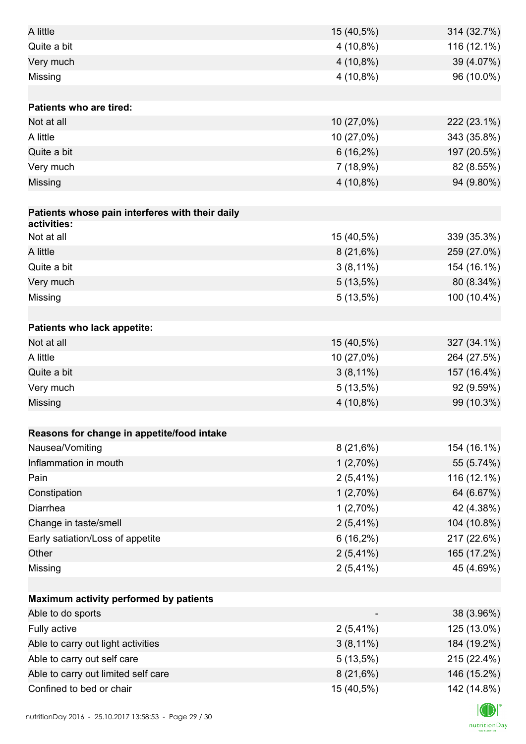| A little                                        | 15 (40,5%)  | 314 (32.7%) |
|-------------------------------------------------|-------------|-------------|
| Quite a bit                                     | $4(10,8\%)$ | 116 (12.1%) |
| Very much                                       | $4(10,8\%)$ | 39 (4.07%)  |
| Missing                                         | $4(10,8\%)$ | 96 (10.0%)  |
|                                                 |             |             |
| <b>Patients who are tired:</b>                  |             |             |
| Not at all                                      | 10 (27,0%)  | 222 (23.1%) |
| A little                                        | 10 (27,0%)  | 343 (35.8%) |
| Quite a bit                                     | $6(16,2\%)$ | 197 (20.5%) |
| Very much                                       | 7(18,9%)    | 82 (8.55%)  |
| Missing                                         | $4(10,8\%)$ | 94 (9.80%)  |
|                                                 |             |             |
| Patients whose pain interferes with their daily |             |             |
| activities:                                     |             |             |
| Not at all                                      | 15 (40,5%)  | 339 (35.3%) |
| A little                                        | $8(21,6\%)$ | 259 (27.0%) |
| Quite a bit                                     | $3(8,11\%)$ | 154 (16.1%) |
| Very much                                       | $5(13,5\%)$ | 80 (8.34%)  |
| Missing                                         | 5(13,5%)    | 100 (10.4%) |
|                                                 |             |             |
| Patients who lack appetite:                     |             |             |
| Not at all                                      | 15 (40,5%)  | 327 (34.1%) |
| A little                                        | 10 (27,0%)  | 264 (27.5%) |
| Quite a bit                                     | $3(8,11\%)$ | 157 (16.4%) |
| Very much                                       | $5(13,5\%)$ | 92 (9.59%)  |
| Missing                                         | $4(10,8\%)$ | 99 (10.3%)  |
|                                                 |             |             |
| Reasons for change in appetite/food intake      |             |             |
| Nausea/Vomiting                                 | 8(21,6%)    | 154 (16.1%) |
| Inflammation in mouth                           | 1(2,70%)    | 55 (5.74%)  |
| Pain                                            | $2(5,41\%)$ | 116 (12.1%) |
| Constipation                                    | 1(2,70%)    | 64 (6.67%)  |
| Diarrhea                                        | 1(2,70%)    | 42 (4.38%)  |
| Change in taste/smell                           | $2(5,41\%)$ | 104 (10.8%) |
| Early satiation/Loss of appetite                | $6(16,2\%)$ | 217 (22.6%) |
| Other                                           | $2(5,41\%)$ | 165 (17.2%) |
| Missing                                         | $2(5,41\%)$ | 45 (4.69%)  |
|                                                 |             |             |
| Maximum activity performed by patients          |             |             |
| Able to do sports                               |             | 38 (3.96%)  |
| Fully active                                    | $2(5,41\%)$ | 125 (13.0%) |
| Able to carry out light activities              | $3(8,11\%)$ | 184 (19.2%) |
| Able to carry out self care                     | 5(13,5%)    | 215 (22.4%) |
| Able to carry out limited self care             | 8(21,6%)    | 146 (15.2%) |
| Confined to bed or chair                        | 15 (40,5%)  | 142 (14.8%) |